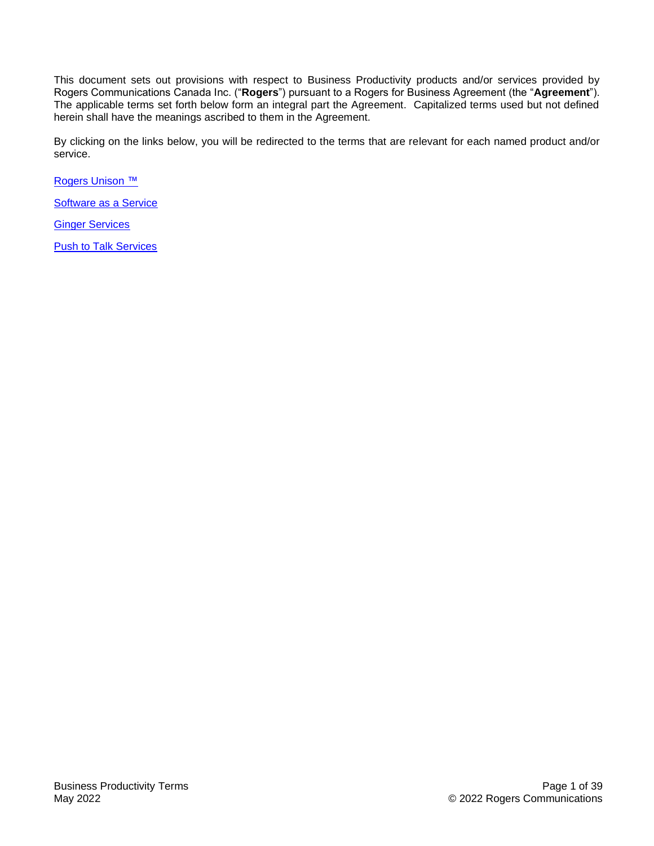This document sets out provisions with respect to Business Productivity products and/or services provided by Rogers Communications Canada Inc. ("**Rogers**") pursuant to a Rogers for Business Agreement (the "**Agreement**"). The applicable terms set forth below form an integral part the Agreement. Capitalized terms used but not defined herein shall have the meanings ascribed to them in the Agreement.

By clicking on the links below, you will be redirected to the terms that are relevant for each named product and/or service.

[Rogers Unison ™](#page-1-0)

[Software as a Service](#page-16-0)

[Ginger Services](#page-16-0)

**[Push to Talk Services](#page-27-0)**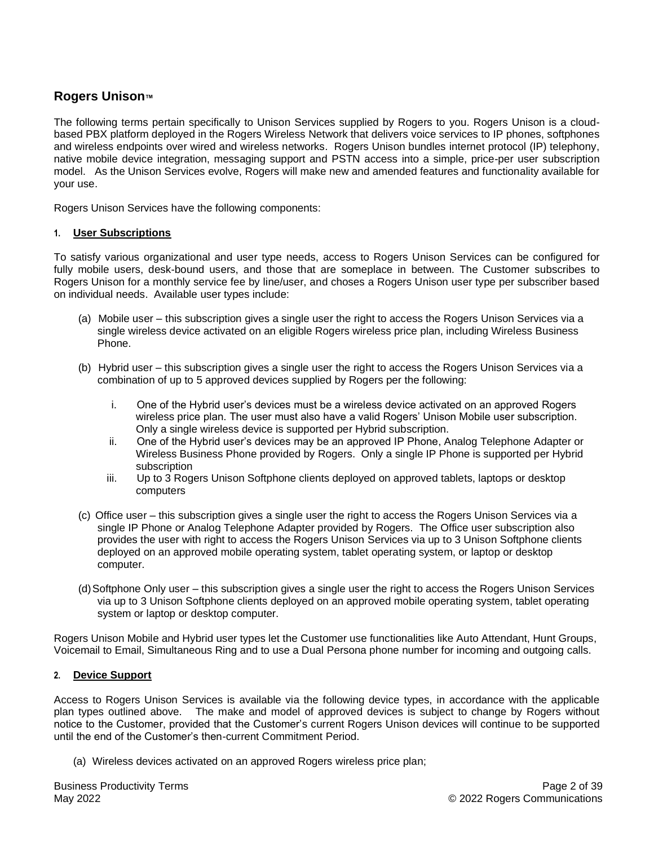# <span id="page-1-0"></span>**Rogers Unison™**

The following terms pertain specifically to Unison Services supplied by Rogers to you. Rogers Unison is a cloudbased PBX platform deployed in the Rogers Wireless Network that delivers voice services to IP phones, softphones and wireless endpoints over wired and wireless networks. Rogers Unison bundles internet protocol (IP) telephony, native mobile device integration, messaging support and PSTN access into a simple, price-per user subscription model. As the Unison Services evolve, Rogers will make new and amended features and functionality available for your use.

Rogers Unison Services have the following components:

#### **1. User Subscriptions**

To satisfy various organizational and user type needs, access to Rogers Unison Services can be configured for fully mobile users, desk-bound users, and those that are someplace in between. The Customer subscribes to Rogers Unison for a monthly service fee by line/user, and choses a Rogers Unison user type per subscriber based on individual needs. Available user types include:

- (a) Mobile user this subscription gives a single user the right to access the Rogers Unison Services via a single wireless device activated on an eligible Rogers wireless price plan, including Wireless Business Phone.
- (b) Hybrid user this subscription gives a single user the right to access the Rogers Unison Services via a combination of up to 5 approved devices supplied by Rogers per the following:
	- i. One of the Hybrid user's devices must be a wireless device activated on an approved Rogers wireless price plan. The user must also have a valid Rogers' Unison Mobile user subscription. Only a single wireless device is supported per Hybrid subscription.
	- ii. One of the Hybrid user's devices may be an approved IP Phone, Analog Telephone Adapter or Wireless Business Phone provided by Rogers. Only a single IP Phone is supported per Hybrid subscription
	- iii. Up to 3 Rogers Unison Softphone clients deployed on approved tablets, laptops or desktop computers
- (c) Office user this subscription gives a single user the right to access the Rogers Unison Services via a single IP Phone or Analog Telephone Adapter provided by Rogers. The Office user subscription also provides the user with right to access the Rogers Unison Services via up to 3 Unison Softphone clients deployed on an approved mobile operating system, tablet operating system, or laptop or desktop computer.
- (d)Softphone Only user this subscription gives a single user the right to access the Rogers Unison Services via up to 3 Unison Softphone clients deployed on an approved mobile operating system, tablet operating system or laptop or desktop computer.

Rogers Unison Mobile and Hybrid user types let the Customer use functionalities like Auto Attendant, Hunt Groups, Voicemail to Email, Simultaneous Ring and to use a Dual Persona phone number for incoming and outgoing calls.

## **2. Device Support**

Access to Rogers Unison Services is available via the following device types, in accordance with the applicable plan types outlined above. The make and model of approved devices is subject to change by Rogers without notice to the Customer, provided that the Customer's current Rogers Unison devices will continue to be supported until the end of the Customer's then-current Commitment Period.

(a) Wireless devices activated on an approved Rogers wireless price plan;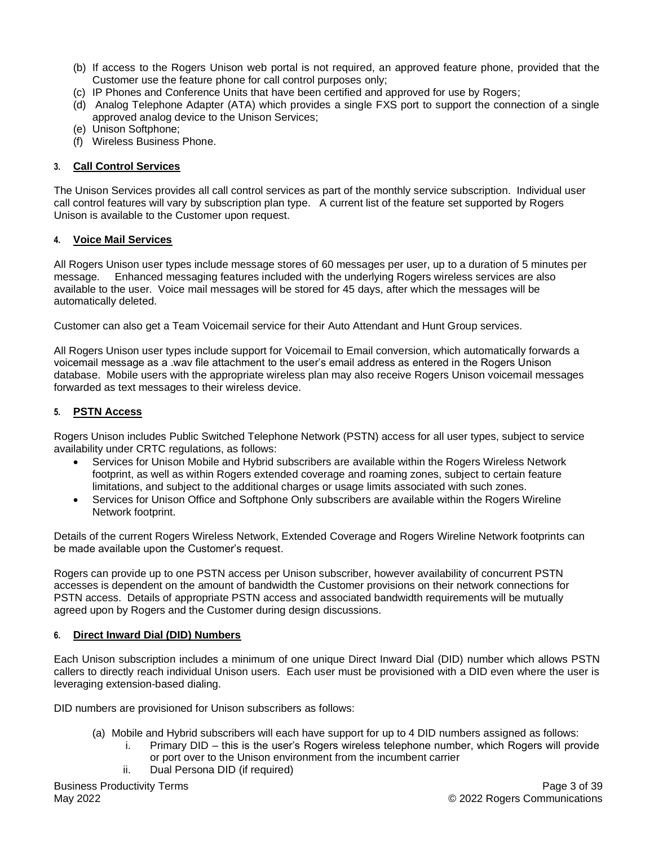- (b) If access to the Rogers Unison web portal is not required, an approved feature phone, provided that the Customer use the feature phone for call control purposes only;
- (c) IP Phones and Conference Units that have been certified and approved for use by Rogers;
- (d) Analog Telephone Adapter (ATA) which provides a single FXS port to support the connection of a single approved analog device to the Unison Services;
- (e) Unison Softphone;
- (f) Wireless Business Phone.

#### **3. Call Control Services**

The Unison Services provides all call control services as part of the monthly service subscription. Individual user call control features will vary by subscription plan type. A current list of the feature set supported by Rogers Unison is available to the Customer upon request.

#### **4. Voice Mail Services**

All Rogers Unison user types include message stores of 60 messages per user, up to a duration of 5 minutes per message. Enhanced messaging features included with the underlying Rogers wireless services are also available to the user. Voice mail messages will be stored for 45 days, after which the messages will be automatically deleted.

Customer can also get a Team Voicemail service for their Auto Attendant and Hunt Group services.

All Rogers Unison user types include support for Voicemail to Email conversion, which automatically forwards a voicemail message as a .wav file attachment to the user's email address as entered in the Rogers Unison database. Mobile users with the appropriate wireless plan may also receive Rogers Unison voicemail messages forwarded as text messages to their wireless device.

## **5. PSTN Access**

Rogers Unison includes Public Switched Telephone Network (PSTN) access for all user types, subject to service availability under CRTC regulations, as follows:

- Services for Unison Mobile and Hybrid subscribers are available within the Rogers Wireless Network footprint, as well as within Rogers extended coverage and roaming zones, subject to certain feature limitations, and subject to the additional charges or usage limits associated with such zones.
- Services for Unison Office and Softphone Only subscribers are available within the Rogers Wireline Network footprint.

Details of the current Rogers Wireless Network, Extended Coverage and Rogers Wireline Network footprints can be made available upon the Customer's request.

Rogers can provide up to one PSTN access per Unison subscriber, however availability of concurrent PSTN accesses is dependent on the amount of bandwidth the Customer provisions on their network connections for PSTN access. Details of appropriate PSTN access and associated bandwidth requirements will be mutually agreed upon by Rogers and the Customer during design discussions.

## **6. Direct Inward Dial (DID) Numbers**

Each Unison subscription includes a minimum of one unique Direct Inward Dial (DID) number which allows PSTN callers to directly reach individual Unison users. Each user must be provisioned with a DID even where the user is leveraging extension-based dialing.

DID numbers are provisioned for Unison subscribers as follows:

- (a) Mobile and Hybrid subscribers will each have support for up to 4 DID numbers assigned as follows:
	- i. Primary DID this is the user's Rogers wireless telephone number, which Rogers will provide or port over to the Unison environment from the incumbent carrier
	- ii. Dual Persona DID (if required)

Business Productivity Terms May 2022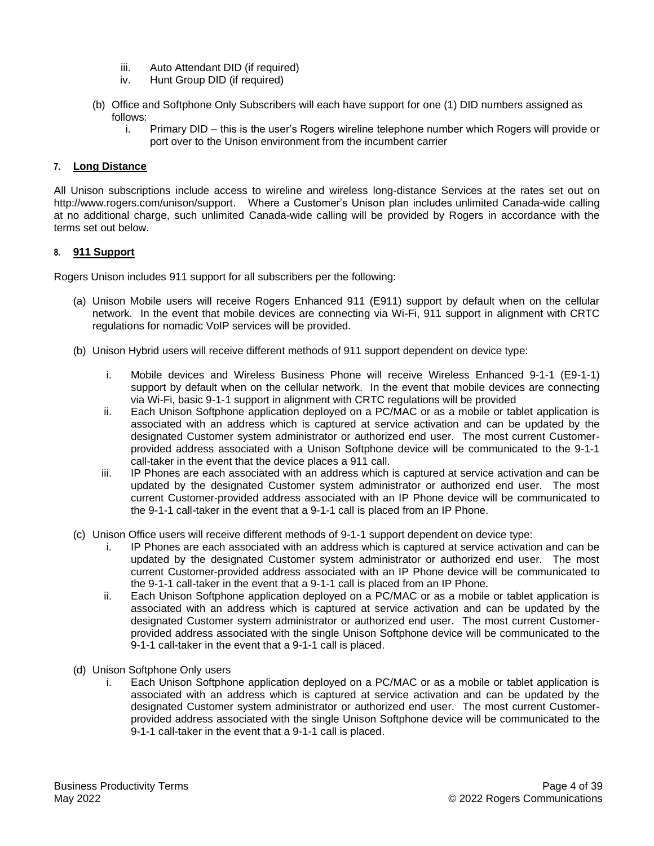- iii. Auto Attendant DID (if required)
- iv. Hunt Group DID (if required)
- (b) Office and Softphone Only Subscribers will each have support for one (1) DID numbers assigned as follows:
	- i. Primary DID this is the user's Rogers wireline telephone number which Rogers will provide or port over to the Unison environment from the incumbent carrier

#### **7. Long Distance**

All Unison subscriptions include access to wireline and wireless long-distance Services at the rates set out on http://www.rogers.com/unison/support. Where a Customer's Unison plan includes unlimited Canada-wide calling at no additional charge, such unlimited Canada-wide calling will be provided by Rogers in accordance with the terms set out below.

#### **8. 911 Support**

Rogers Unison includes 911 support for all subscribers per the following:

- (a) Unison Mobile users will receive Rogers Enhanced 911 (E911) support by default when on the cellular network. In the event that mobile devices are connecting via Wi-Fi, 911 support in alignment with CRTC regulations for nomadic VoIP services will be provided.
- (b) Unison Hybrid users will receive different methods of 911 support dependent on device type:
	- i. Mobile devices and Wireless Business Phone will receive Wireless Enhanced 9-1-1 (E9-1-1) support by default when on the cellular network. In the event that mobile devices are connecting via Wi-Fi, basic 9-1-1 support in alignment with CRTC regulations will be provided
	- ii. Each Unison Softphone application deployed on a PC/MAC or as a mobile or tablet application is associated with an address which is captured at service activation and can be updated by the designated Customer system administrator or authorized end user. The most current Customerprovided address associated with a Unison Softphone device will be communicated to the 9-1-1 call-taker in the event that the device places a 911 call.
	- iii. IP Phones are each associated with an address which is captured at service activation and can be updated by the designated Customer system administrator or authorized end user. The most current Customer-provided address associated with an IP Phone device will be communicated to the 9-1-1 call-taker in the event that a 9-1-1 call is placed from an IP Phone.
- (c) Unison Office users will receive different methods of 9-1-1 support dependent on device type:
	- i. IP Phones are each associated with an address which is captured at service activation and can be updated by the designated Customer system administrator or authorized end user. The most current Customer-provided address associated with an IP Phone device will be communicated to the 9-1-1 call-taker in the event that a 9-1-1 call is placed from an IP Phone.
	- ii. Each Unison Softphone application deployed on a PC/MAC or as a mobile or tablet application is associated with an address which is captured at service activation and can be updated by the designated Customer system administrator or authorized end user. The most current Customerprovided address associated with the single Unison Softphone device will be communicated to the 9-1-1 call-taker in the event that a 9-1-1 call is placed.
- (d) Unison Softphone Only users
	- i. Each Unison Softphone application deployed on a PC/MAC or as a mobile or tablet application is associated with an address which is captured at service activation and can be updated by the designated Customer system administrator or authorized end user. The most current Customerprovided address associated with the single Unison Softphone device will be communicated to the 9-1-1 call-taker in the event that a 9-1-1 call is placed.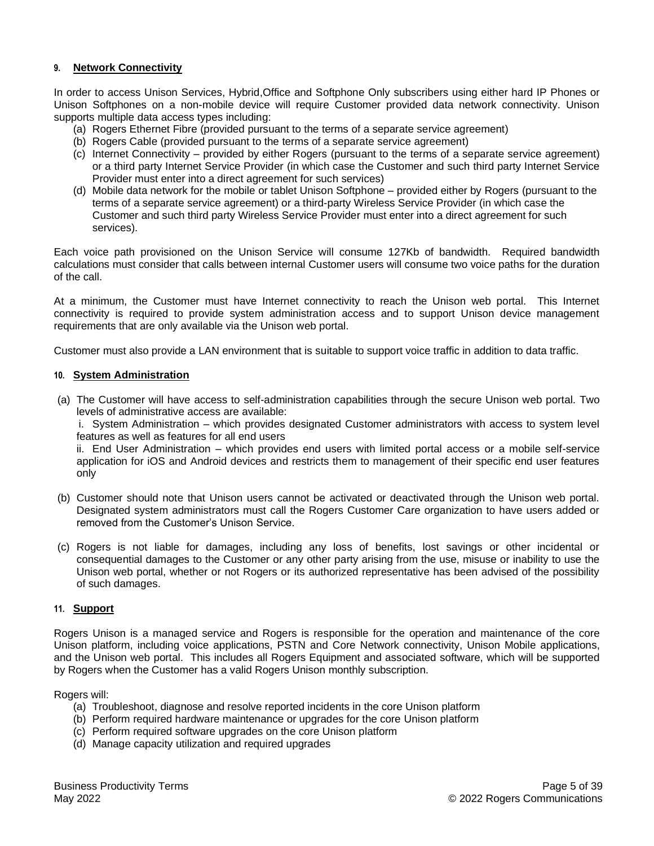#### **9. Network Connectivity**

In order to access Unison Services, Hybrid,Office and Softphone Only subscribers using either hard IP Phones or Unison Softphones on a non-mobile device will require Customer provided data network connectivity. Unison supports multiple data access types including:

- (a) Rogers Ethernet Fibre (provided pursuant to the terms of a separate service agreement)
- (b) Rogers Cable (provided pursuant to the terms of a separate service agreement)
- (c) Internet Connectivity provided by either Rogers (pursuant to the terms of a separate service agreement) or a third party Internet Service Provider (in which case the Customer and such third party Internet Service Provider must enter into a direct agreement for such services)
- (d) Mobile data network for the mobile or tablet Unison Softphone provided either by Rogers (pursuant to the terms of a separate service agreement) or a third-party Wireless Service Provider (in which case the Customer and such third party Wireless Service Provider must enter into a direct agreement for such services).

Each voice path provisioned on the Unison Service will consume 127Kb of bandwidth. Required bandwidth calculations must consider that calls between internal Customer users will consume two voice paths for the duration of the call.

At a minimum, the Customer must have Internet connectivity to reach the Unison web portal. This Internet connectivity is required to provide system administration access and to support Unison device management requirements that are only available via the Unison web portal.

Customer must also provide a LAN environment that is suitable to support voice traffic in addition to data traffic.

#### **10. System Administration**

(a) The Customer will have access to self-administration capabilities through the secure Unison web portal. Two levels of administrative access are available:

i. System Administration – which provides designated Customer administrators with access to system level features as well as features for all end users

ii. End User Administration – which provides end users with limited portal access or a mobile self-service application for iOS and Android devices and restricts them to management of their specific end user features only

- (b) Customer should note that Unison users cannot be activated or deactivated through the Unison web portal. Designated system administrators must call the Rogers Customer Care organization to have users added or removed from the Customer's Unison Service.
- (c) Rogers is not liable for damages, including any loss of benefits, lost savings or other incidental or consequential damages to the Customer or any other party arising from the use, misuse or inability to use the Unison web portal, whether or not Rogers or its authorized representative has been advised of the possibility of such damages.

#### **11. Support**

Rogers Unison is a managed service and Rogers is responsible for the operation and maintenance of the core Unison platform, including voice applications, PSTN and Core Network connectivity, Unison Mobile applications, and the Unison web portal. This includes all Rogers Equipment and associated software, which will be supported by Rogers when the Customer has a valid Rogers Unison monthly subscription.

Rogers will:

- (a) Troubleshoot, diagnose and resolve reported incidents in the core Unison platform
- (b) Perform required hardware maintenance or upgrades for the core Unison platform
- (c) Perform required software upgrades on the core Unison platform
- (d) Manage capacity utilization and required upgrades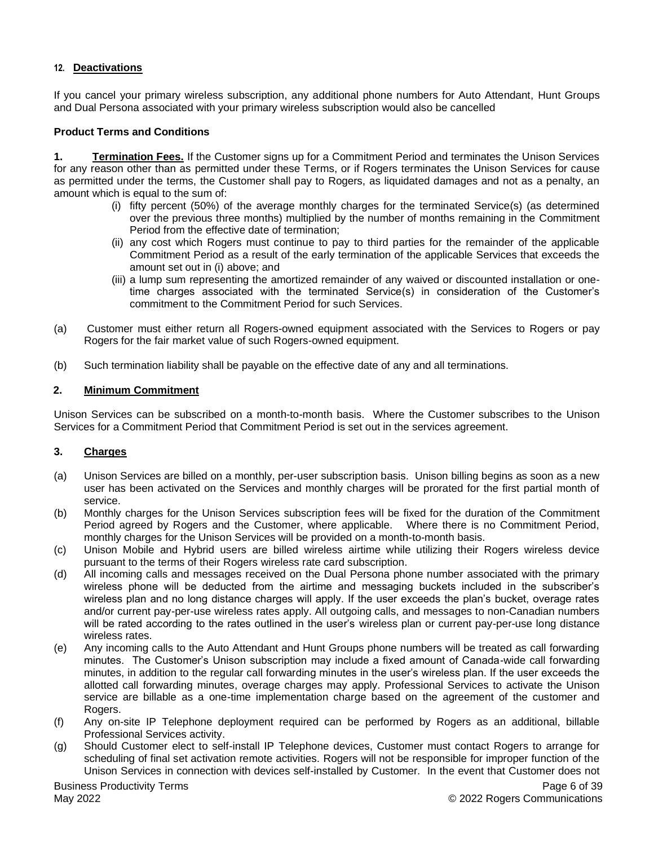## **12. Deactivations**

If you cancel your primary wireless subscription, any additional phone numbers for Auto Attendant, Hunt Groups and Dual Persona associated with your primary wireless subscription would also be cancelled

#### **Product Terms and Conditions**

**1. Termination Fees.** If the Customer signs up for a Commitment Period and terminates the Unison Services for any reason other than as permitted under these Terms, or if Rogers terminates the Unison Services for cause as permitted under the terms, the Customer shall pay to Rogers, as liquidated damages and not as a penalty, an amount which is equal to the sum of:

- (i) fifty percent (50%) of the average monthly charges for the terminated Service(s) (as determined over the previous three months) multiplied by the number of months remaining in the Commitment Period from the effective date of termination;
- (ii) any cost which Rogers must continue to pay to third parties for the remainder of the applicable Commitment Period as a result of the early termination of the applicable Services that exceeds the amount set out in (i) above; and
- (iii) a lump sum representing the amortized remainder of any waived or discounted installation or onetime charges associated with the terminated Service(s) in consideration of the Customer's commitment to the Commitment Period for such Services.
- (a) Customer must either return all Rogers-owned equipment associated with the Services to Rogers or pay Rogers for the fair market value of such Rogers-owned equipment.
- (b) Such termination liability shall be payable on the effective date of any and all terminations.

#### **2. Minimum Commitment**

Unison Services can be subscribed on a month-to-month basis. Where the Customer subscribes to the Unison Services for a Commitment Period that Commitment Period is set out in the services agreement.

#### **3. Charges**

- (a) Unison Services are billed on a monthly, per-user subscription basis. Unison billing begins as soon as a new user has been activated on the Services and monthly charges will be prorated for the first partial month of service.
- (b) Monthly charges for the Unison Services subscription fees will be fixed for the duration of the Commitment Period agreed by Rogers and the Customer, where applicable. Where there is no Commitment Period, monthly charges for the Unison Services will be provided on a month-to-month basis.
- (c) Unison Mobile and Hybrid users are billed wireless airtime while utilizing their Rogers wireless device pursuant to the terms of their Rogers wireless rate card subscription.
- (d) All incoming calls and messages received on the Dual Persona phone number associated with the primary wireless phone will be deducted from the airtime and messaging buckets included in the subscriber's wireless plan and no long distance charges will apply. If the user exceeds the plan's bucket, overage rates and/or current pay-per-use wireless rates apply. All outgoing calls, and messages to non-Canadian numbers will be rated according to the rates outlined in the user's wireless plan or current pay-per-use long distance wireless rates.
- (e) Any incoming calls to the Auto Attendant and Hunt Groups phone numbers will be treated as call forwarding minutes. The Customer's Unison subscription may include a fixed amount of Canada-wide call forwarding minutes, in addition to the regular call forwarding minutes in the user's wireless plan. If the user exceeds the allotted call forwarding minutes, overage charges may apply. Professional Services to activate the Unison service are billable as a one-time implementation charge based on the agreement of the customer and Rogers.
- (f) Any on-site IP Telephone deployment required can be performed by Rogers as an additional, billable Professional Services activity.
- (g) Should Customer elect to self-install IP Telephone devices, Customer must contact Rogers to arrange for scheduling of final set activation remote activities. Rogers will not be responsible for improper function of the Unison Services in connection with devices self-installed by Customer. In the event that Customer does not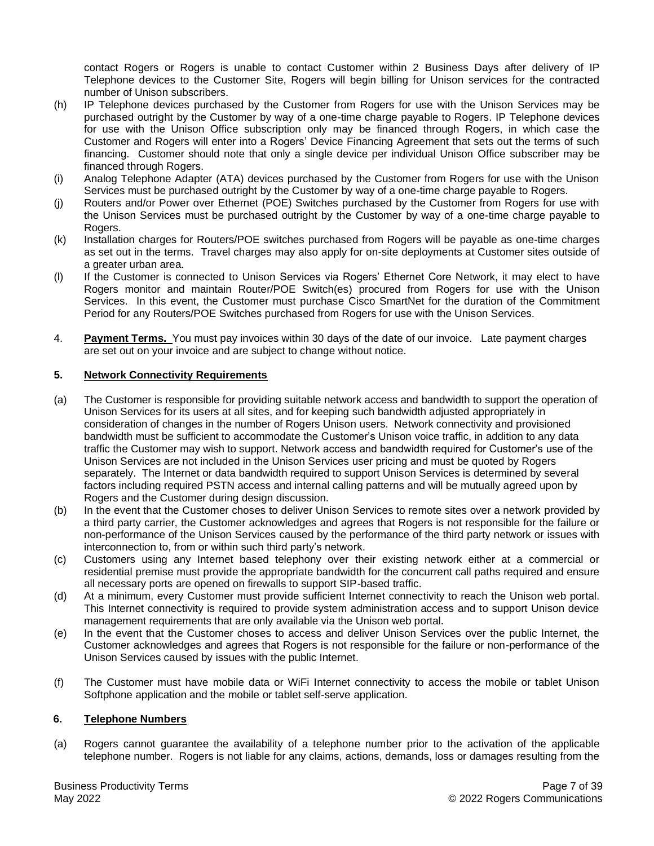contact Rogers or Rogers is unable to contact Customer within 2 Business Days after delivery of IP Telephone devices to the Customer Site, Rogers will begin billing for Unison services for the contracted number of Unison subscribers.

- (h) IP Telephone devices purchased by the Customer from Rogers for use with the Unison Services may be purchased outright by the Customer by way of a one-time charge payable to Rogers. IP Telephone devices for use with the Unison Office subscription only may be financed through Rogers, in which case the Customer and Rogers will enter into a Rogers' Device Financing Agreement that sets out the terms of such financing. Customer should note that only a single device per individual Unison Office subscriber may be financed through Rogers.
- (i) Analog Telephone Adapter (ATA) devices purchased by the Customer from Rogers for use with the Unison Services must be purchased outright by the Customer by way of a one-time charge payable to Rogers.
- (j) Routers and/or Power over Ethernet (POE) Switches purchased by the Customer from Rogers for use with the Unison Services must be purchased outright by the Customer by way of a one-time charge payable to Rogers.
- (k) Installation charges for Routers/POE switches purchased from Rogers will be payable as one-time charges as set out in the terms. Travel charges may also apply for on-site deployments at Customer sites outside of a greater urban area.
- (l) If the Customer is connected to Unison Services via Rogers' Ethernet Core Network, it may elect to have Rogers monitor and maintain Router/POE Switch(es) procured from Rogers for use with the Unison Services. In this event, the Customer must purchase Cisco SmartNet for the duration of the Commitment Period for any Routers/POE Switches purchased from Rogers for use with the Unison Services.
- 4. **Payment Terms.** You must pay invoices within 30 days of the date of our invoice. Late payment charges are set out on your invoice and are subject to change without notice.

#### **5. Network Connectivity Requirements**

- (a) The Customer is responsible for providing suitable network access and bandwidth to support the operation of Unison Services for its users at all sites, and for keeping such bandwidth adjusted appropriately in consideration of changes in the number of Rogers Unison users. Network connectivity and provisioned bandwidth must be sufficient to accommodate the Customer's Unison voice traffic, in addition to any data traffic the Customer may wish to support. Network access and bandwidth required for Customer's use of the Unison Services are not included in the Unison Services user pricing and must be quoted by Rogers separately. The Internet or data bandwidth required to support Unison Services is determined by several factors including required PSTN access and internal calling patterns and will be mutually agreed upon by Rogers and the Customer during design discussion.
- (b) In the event that the Customer choses to deliver Unison Services to remote sites over a network provided by a third party carrier, the Customer acknowledges and agrees that Rogers is not responsible for the failure or non-performance of the Unison Services caused by the performance of the third party network or issues with interconnection to, from or within such third party's network.
- (c) Customers using any Internet based telephony over their existing network either at a commercial or residential premise must provide the appropriate bandwidth for the concurrent call paths required and ensure all necessary ports are opened on firewalls to support SIP-based traffic.
- (d) At a minimum, every Customer must provide sufficient Internet connectivity to reach the Unison web portal. This Internet connectivity is required to provide system administration access and to support Unison device management requirements that are only available via the Unison web portal.
- (e) In the event that the Customer choses to access and deliver Unison Services over the public Internet, the Customer acknowledges and agrees that Rogers is not responsible for the failure or non-performance of the Unison Services caused by issues with the public Internet.
- (f) The Customer must have mobile data or WiFi Internet connectivity to access the mobile or tablet Unison Softphone application and the mobile or tablet self-serve application.

#### **6. Telephone Numbers**

(a) Rogers cannot guarantee the availability of a telephone number prior to the activation of the applicable telephone number. Rogers is not liable for any claims, actions, demands, loss or damages resulting from the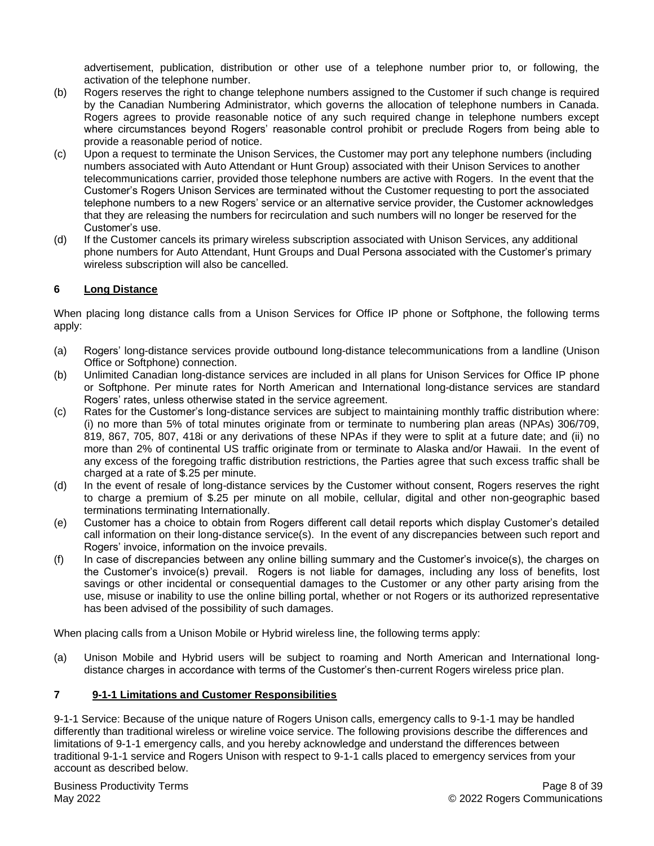advertisement, publication, distribution or other use of a telephone number prior to, or following, the activation of the telephone number.

- (b) Rogers reserves the right to change telephone numbers assigned to the Customer if such change is required by the Canadian Numbering Administrator, which governs the allocation of telephone numbers in Canada. Rogers agrees to provide reasonable notice of any such required change in telephone numbers except where circumstances beyond Rogers' reasonable control prohibit or preclude Rogers from being able to provide a reasonable period of notice.
- (c) Upon a request to terminate the Unison Services, the Customer may port any telephone numbers (including numbers associated with Auto Attendant or Hunt Group) associated with their Unison Services to another telecommunications carrier, provided those telephone numbers are active with Rogers. In the event that the Customer's Rogers Unison Services are terminated without the Customer requesting to port the associated telephone numbers to a new Rogers' service or an alternative service provider, the Customer acknowledges that they are releasing the numbers for recirculation and such numbers will no longer be reserved for the Customer's use.
- (d) If the Customer cancels its primary wireless subscription associated with Unison Services, any additional phone numbers for Auto Attendant, Hunt Groups and Dual Persona associated with the Customer's primary wireless subscription will also be cancelled.

## **6 Long Distance**

When placing long distance calls from a Unison Services for Office IP phone or Softphone, the following terms apply:

- (a) Rogers' long-distance services provide outbound long-distance telecommunications from a landline (Unison Office or Softphone) connection.
- (b) Unlimited Canadian long-distance services are included in all plans for Unison Services for Office IP phone or Softphone. Per minute rates for North American and International long-distance services are standard Rogers' rates, unless otherwise stated in the service agreement.
- (c) Rates for the Customer's long-distance services are subject to maintaining monthly traffic distribution where: (i) no more than 5% of total minutes originate from or terminate to numbering plan areas (NPAs) 306/709, 819, 867, 705, 807, 418i or any derivations of these NPAs if they were to split at a future date; and (ii) no more than 2% of continental US traffic originate from or terminate to Alaska and/or Hawaii. In the event of any excess of the foregoing traffic distribution restrictions, the Parties agree that such excess traffic shall be charged at a rate of \$.25 per minute.
- (d) In the event of resale of long-distance services by the Customer without consent, Rogers reserves the right to charge a premium of \$.25 per minute on all mobile, cellular, digital and other non-geographic based terminations terminating Internationally.
- (e) Customer has a choice to obtain from Rogers different call detail reports which display Customer's detailed call information on their long-distance service(s). In the event of any discrepancies between such report and Rogers' invoice, information on the invoice prevails.
- (f) In case of discrepancies between any online billing summary and the Customer's invoice(s), the charges on the Customer's invoice(s) prevail. Rogers is not liable for damages, including any loss of benefits, lost savings or other incidental or consequential damages to the Customer or any other party arising from the use, misuse or inability to use the online billing portal, whether or not Rogers or its authorized representative has been advised of the possibility of such damages.

When placing calls from a Unison Mobile or Hybrid wireless line, the following terms apply:

(a) Unison Mobile and Hybrid users will be subject to roaming and North American and International longdistance charges in accordance with terms of the Customer's then-current Rogers wireless price plan.

## **7 9-1-1 Limitations and Customer Responsibilities**

9-1-1 Service: Because of the unique nature of Rogers Unison calls, emergency calls to 9-1-1 may be handled differently than traditional wireless or wireline voice service. The following provisions describe the differences and limitations of 9-1-1 emergency calls, and you hereby acknowledge and understand the differences between traditional 9-1-1 service and Rogers Unison with respect to 9-1-1 calls placed to emergency services from your account as described below.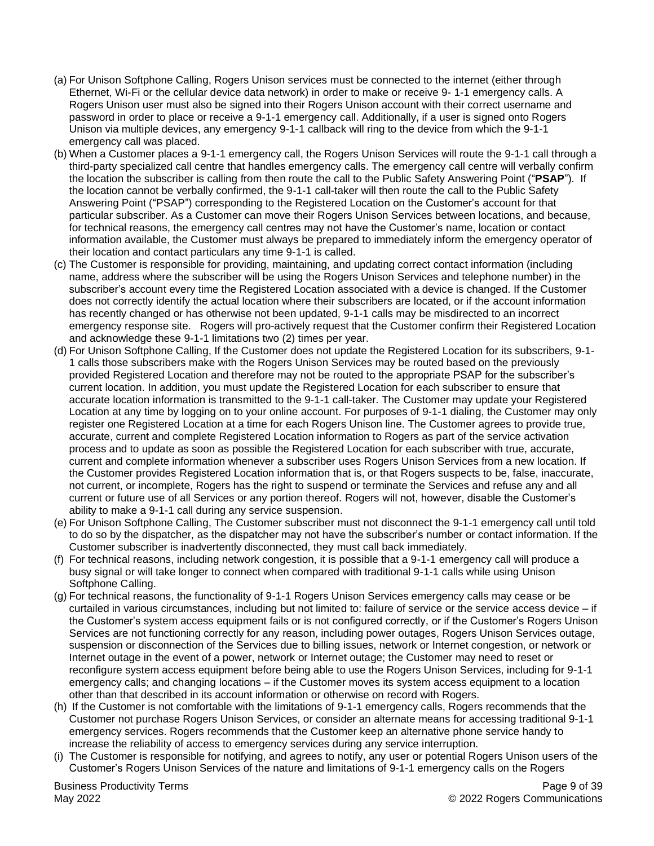- (a) For Unison Softphone Calling, Rogers Unison services must be connected to the internet (either through Ethernet, Wi-Fi or the cellular device data network) in order to make or receive 9- 1-1 emergency calls. A Rogers Unison user must also be signed into their Rogers Unison account with their correct username and password in order to place or receive a 9-1-1 emergency call. Additionally, if a user is signed onto Rogers Unison via multiple devices, any emergency 9-1-1 callback will ring to the device from which the 9-1-1 emergency call was placed.
- (b) When a Customer places a 9-1-1 emergency call, the Rogers Unison Services will route the 9-1-1 call through a third-party specialized call centre that handles emergency calls. The emergency call centre will verbally confirm the location the subscriber is calling from then route the call to the Public Safety Answering Point ("**PSAP**"). If the location cannot be verbally confirmed, the 9-1-1 call-taker will then route the call to the Public Safety Answering Point ("PSAP") corresponding to the Registered Location on the Customer's account for that particular subscriber. As a Customer can move their Rogers Unison Services between locations, and because, for technical reasons, the emergency call centres may not have the Customer's name, location or contact information available, the Customer must always be prepared to immediately inform the emergency operator of their location and contact particulars any time 9-1-1 is called.
- (c) The Customer is responsible for providing, maintaining, and updating correct contact information (including name, address where the subscriber will be using the Rogers Unison Services and telephone number) in the subscriber's account every time the Registered Location associated with a device is changed. If the Customer does not correctly identify the actual location where their subscribers are located, or if the account information has recently changed or has otherwise not been updated, 9-1-1 calls may be misdirected to an incorrect emergency response site. Rogers will pro-actively request that the Customer confirm their Registered Location and acknowledge these 9-1-1 limitations two (2) times per year.
- (d) For Unison Softphone Calling, If the Customer does not update the Registered Location for its subscribers, 9-1- 1 calls those subscribers make with the Rogers Unison Services may be routed based on the previously provided Registered Location and therefore may not be routed to the appropriate PSAP for the subscriber's current location. In addition, you must update the Registered Location for each subscriber to ensure that accurate location information is transmitted to the 9-1-1 call-taker. The Customer may update your Registered Location at any time by logging on to your online account. For purposes of 9-1-1 dialing, the Customer may only register one Registered Location at a time for each Rogers Unison line. The Customer agrees to provide true, accurate, current and complete Registered Location information to Rogers as part of the service activation process and to update as soon as possible the Registered Location for each subscriber with true, accurate, current and complete information whenever a subscriber uses Rogers Unison Services from a new location. If the Customer provides Registered Location information that is, or that Rogers suspects to be, false, inaccurate, not current, or incomplete, Rogers has the right to suspend or terminate the Services and refuse any and all current or future use of all Services or any portion thereof. Rogers will not, however, disable the Customer's ability to make a 9-1-1 call during any service suspension.
- (e) For Unison Softphone Calling, The Customer subscriber must not disconnect the 9-1-1 emergency call until told to do so by the dispatcher, as the dispatcher may not have the subscriber's number or contact information. If the Customer subscriber is inadvertently disconnected, they must call back immediately.
- (f) For technical reasons, including network congestion, it is possible that a 9-1-1 emergency call will produce a busy signal or will take longer to connect when compared with traditional 9-1-1 calls while using Unison Softphone Calling.
- (g) For technical reasons, the functionality of 9-1-1 Rogers Unison Services emergency calls may cease or be curtailed in various circumstances, including but not limited to: failure of service or the service access device – if the Customer's system access equipment fails or is not configured correctly, or if the Customer's Rogers Unison Services are not functioning correctly for any reason, including power outages, Rogers Unison Services outage, suspension or disconnection of the Services due to billing issues, network or Internet congestion, or network or Internet outage in the event of a power, network or Internet outage; the Customer may need to reset or reconfigure system access equipment before being able to use the Rogers Unison Services, including for 9-1-1 emergency calls; and changing locations – if the Customer moves its system access equipment to a location other than that described in its account information or otherwise on record with Rogers.
- (h) If the Customer is not comfortable with the limitations of 9-1-1 emergency calls, Rogers recommends that the Customer not purchase Rogers Unison Services, or consider an alternate means for accessing traditional 9-1-1 emergency services. Rogers recommends that the Customer keep an alternative phone service handy to increase the reliability of access to emergency services during any service interruption.
- (i) The Customer is responsible for notifying, and agrees to notify, any user or potential Rogers Unison users of the Customer's Rogers Unison Services of the nature and limitations of 9-1-1 emergency calls on the Rogers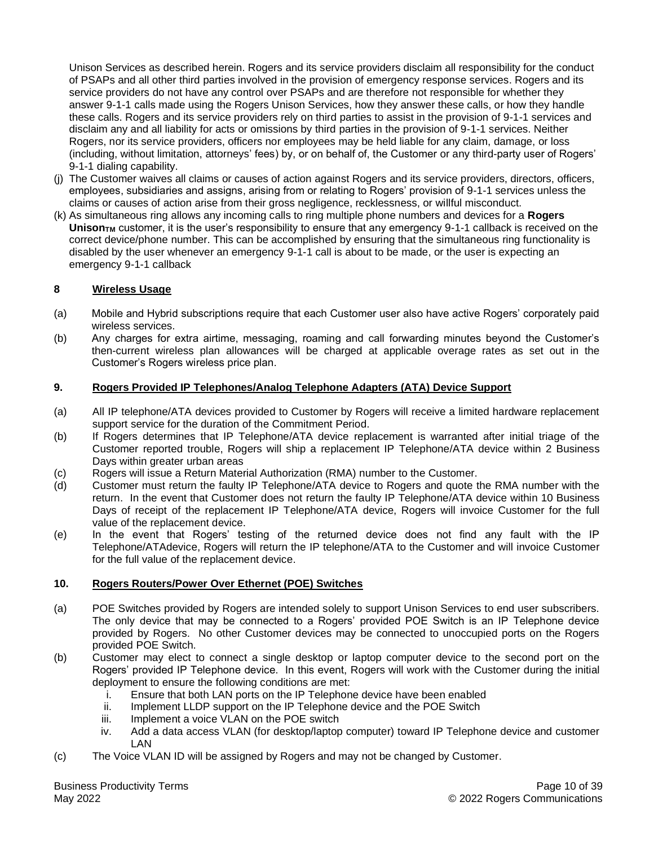Unison Services as described herein. Rogers and its service providers disclaim all responsibility for the conduct of PSAPs and all other third parties involved in the provision of emergency response services. Rogers and its service providers do not have any control over PSAPs and are therefore not responsible for whether they answer 9-1-1 calls made using the Rogers Unison Services, how they answer these calls, or how they handle these calls. Rogers and its service providers rely on third parties to assist in the provision of 9-1-1 services and disclaim any and all liability for acts or omissions by third parties in the provision of 9-1-1 services. Neither Rogers, nor its service providers, officers nor employees may be held liable for any claim, damage, or loss (including, without limitation, attorneys' fees) by, or on behalf of, the Customer or any third-party user of Rogers' 9-1-1 dialing capability.

- (j) The Customer waives all claims or causes of action against Rogers and its service providers, directors, officers, employees, subsidiaries and assigns, arising from or relating to Rogers' provision of 9-1-1 services unless the claims or causes of action arise from their gross negligence, recklessness, or willful misconduct.
- (k) As simultaneous ring allows any incoming calls to ring multiple phone numbers and devices for a **Rogers**  Unison<sub>TM</sub> customer, it is the user's responsibility to ensure that any emergency 9-1-1 callback is received on the correct device/phone number. This can be accomplished by ensuring that the simultaneous ring functionality is disabled by the user whenever an emergency 9-1-1 call is about to be made, or the user is expecting an emergency 9-1-1 callback

## **8 Wireless Usage**

- (a) Mobile and Hybrid subscriptions require that each Customer user also have active Rogers' corporately paid wireless services.
- (b) Any charges for extra airtime, messaging, roaming and call forwarding minutes beyond the Customer's then-current wireless plan allowances will be charged at applicable overage rates as set out in the Customer's Rogers wireless price plan.

## **9. Rogers Provided IP Telephones/Analog Telephone Adapters (ATA) Device Support**

- (a) All IP telephone/ATA devices provided to Customer by Rogers will receive a limited hardware replacement support service for the duration of the Commitment Period.
- (b) If Rogers determines that IP Telephone/ATA device replacement is warranted after initial triage of the Customer reported trouble, Rogers will ship a replacement IP Telephone/ATA device within 2 Business Days within greater urban areas
- (c) Rogers will issue a Return Material Authorization (RMA) number to the Customer.
- (d) Customer must return the faulty IP Telephone/ATA device to Rogers and quote the RMA number with the return. In the event that Customer does not return the faulty IP Telephone/ATA device within 10 Business Days of receipt of the replacement IP Telephone/ATA device, Rogers will invoice Customer for the full value of the replacement device.
- (e) In the event that Rogers' testing of the returned device does not find any fault with the IP Telephone/ATAdevice, Rogers will return the IP telephone/ATA to the Customer and will invoice Customer for the full value of the replacement device.

## **10. Rogers Routers/Power Over Ethernet (POE) Switches**

- (a) POE Switches provided by Rogers are intended solely to support Unison Services to end user subscribers. The only device that may be connected to a Rogers' provided POE Switch is an IP Telephone device provided by Rogers. No other Customer devices may be connected to unoccupied ports on the Rogers provided POE Switch.
- (b) Customer may elect to connect a single desktop or laptop computer device to the second port on the Rogers' provided IP Telephone device. In this event, Rogers will work with the Customer during the initial deployment to ensure the following conditions are met:
	- i. Ensure that both LAN ports on the IP Telephone device have been enabled
	- ii. Implement LLDP support on the IP Telephone device and the POE Switch
	- iii. Implement a voice VLAN on the POE switch
	- iv. Add a data access VLAN (for desktop/laptop computer) toward IP Telephone device and customer LAN
- (c) The Voice VLAN ID will be assigned by Rogers and may not be changed by Customer.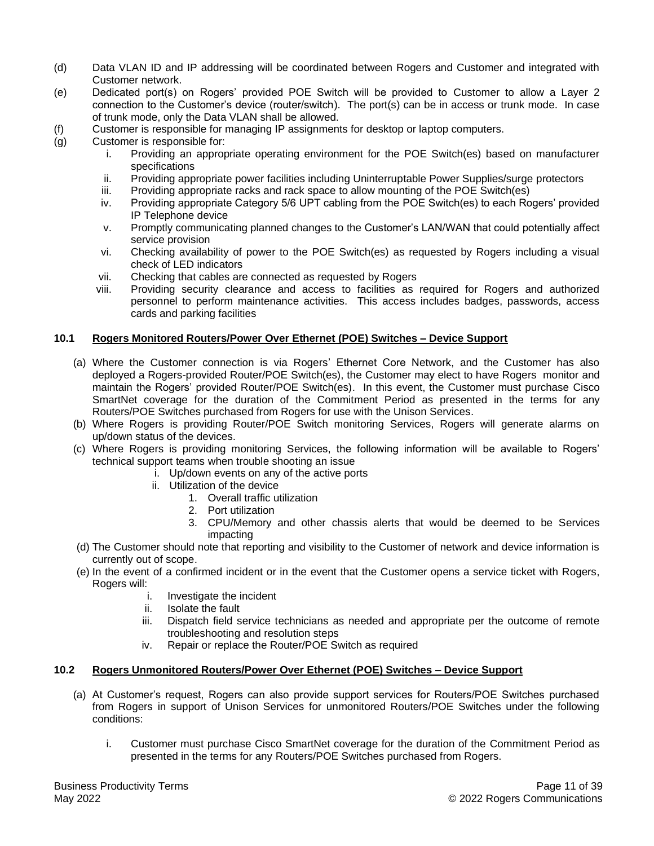- (d) Data VLAN ID and IP addressing will be coordinated between Rogers and Customer and integrated with Customer network.
- (e) Dedicated port(s) on Rogers' provided POE Switch will be provided to Customer to allow a Layer 2 connection to the Customer's device (router/switch). The port(s) can be in access or trunk mode. In case of trunk mode, only the Data VLAN shall be allowed.
- (f) Customer is responsible for managing IP assignments for desktop or laptop computers.
- (g) Customer is responsible for:
	- i. Providing an appropriate operating environment for the POE Switch(es) based on manufacturer specifications
	- ii. Providing appropriate power facilities including Uninterruptable Power Supplies/surge protectors
	- iii. Providing appropriate racks and rack space to allow mounting of the POE Switch(es)
	- iv. Providing appropriate Category 5/6 UPT cabling from the POE Switch(es) to each Rogers' provided IP Telephone device
	- v. Promptly communicating planned changes to the Customer's LAN/WAN that could potentially affect service provision
	- vi. Checking availability of power to the POE Switch(es) as requested by Rogers including a visual check of LED indicators
	- vii. Checking that cables are connected as requested by Rogers
	- viii. Providing security clearance and access to facilities as required for Rogers and authorized personnel to perform maintenance activities. This access includes badges, passwords, access cards and parking facilities

#### **10.1 Rogers Monitored Routers/Power Over Ethernet (POE) Switches – Device Support**

- (a) Where the Customer connection is via Rogers' Ethernet Core Network, and the Customer has also deployed a Rogers-provided Router/POE Switch(es), the Customer may elect to have Rogers monitor and maintain the Rogers' provided Router/POE Switch(es). In this event, the Customer must purchase Cisco SmartNet coverage for the duration of the Commitment Period as presented in the terms for any Routers/POE Switches purchased from Rogers for use with the Unison Services.
- (b) Where Rogers is providing Router/POE Switch monitoring Services, Rogers will generate alarms on up/down status of the devices.
- (c) Where Rogers is providing monitoring Services, the following information will be available to Rogers' technical support teams when trouble shooting an issue
	- i. Up/down events on any of the active ports
	- ii. Utilization of the device
		- 1. Overall traffic utilization
		- 2. Port utilization
		- 3. CPU/Memory and other chassis alerts that would be deemed to be Services impacting
- (d) The Customer should note that reporting and visibility to the Customer of network and device information is currently out of scope.
- (e) In the event of a confirmed incident or in the event that the Customer opens a service ticket with Rogers, Rogers will:
	- i. Investigate the incident
	- ii. Isolate the fault
	- iii. Dispatch field service technicians as needed and appropriate per the outcome of remote troubleshooting and resolution steps
	- iv. Repair or replace the Router/POE Switch as required

## **10.2 Rogers Unmonitored Routers/Power Over Ethernet (POE) Switches – Device Support**

- (a) At Customer's request, Rogers can also provide support services for Routers/POE Switches purchased from Rogers in support of Unison Services for unmonitored Routers/POE Switches under the following conditions:
	- i. Customer must purchase Cisco SmartNet coverage for the duration of the Commitment Period as presented in the terms for any Routers/POE Switches purchased from Rogers.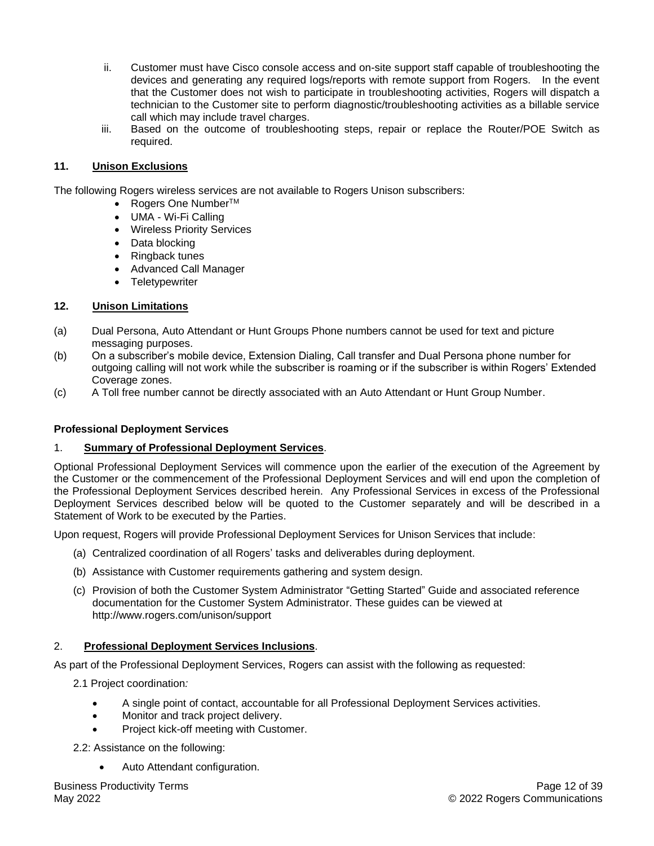- ii. Customer must have Cisco console access and on-site support staff capable of troubleshooting the devices and generating any required logs/reports with remote support from Rogers. In the event that the Customer does not wish to participate in troubleshooting activities, Rogers will dispatch a technician to the Customer site to perform diagnostic/troubleshooting activities as a billable service call which may include travel charges.
- iii. Based on the outcome of troubleshooting steps, repair or replace the Router/POE Switch as required.

#### **11. Unison Exclusions**

The following Rogers wireless services are not available to Rogers Unison subscribers:

- Rogers One Number<sup>TM</sup>
- UMA Wi-Fi Calling
- Wireless Priority Services
- Data blocking
- Ringback tunes
- Advanced Call Manager
- Teletypewriter

#### **12. Unison Limitations**

- (a) Dual Persona, Auto Attendant or Hunt Groups Phone numbers cannot be used for text and picture messaging purposes.
- (b) On a subscriber's mobile device, Extension Dialing, Call transfer and Dual Persona phone number for outgoing calling will not work while the subscriber is roaming or if the subscriber is within Rogers' Extended Coverage zones.
- (c) A Toll free number cannot be directly associated with an Auto Attendant or Hunt Group Number.

#### **Professional Deployment Services**

#### 1. **Summary of Professional Deployment Services**.

Optional Professional Deployment Services will commence upon the earlier of the execution of the Agreement by the Customer or the commencement of the Professional Deployment Services and will end upon the completion of the Professional Deployment Services described herein. Any Professional Services in excess of the Professional Deployment Services described below will be quoted to the Customer separately and will be described in a Statement of Work to be executed by the Parties.

Upon request, Rogers will provide Professional Deployment Services for Unison Services that include:

- (a) Centralized coordination of all Rogers' tasks and deliverables during deployment.
- (b) Assistance with Customer requirements gathering and system design.
- (c) Provision of both the Customer System Administrator "Getting Started" Guide and associated reference documentation for the Customer System Administrator. These guides can be viewed at http://www.rogers.com/unison/support

## 2. **Professional Deployment Services Inclusions**.

As part of the Professional Deployment Services, Rogers can assist with the following as requested:

- 2.1 Project coordination*:*
	- A single point of contact, accountable for all Professional Deployment Services activities.
	- Monitor and track project delivery.
	- Project kick-off meeting with Customer.

2.2: Assistance on the following:

• Auto Attendant configuration.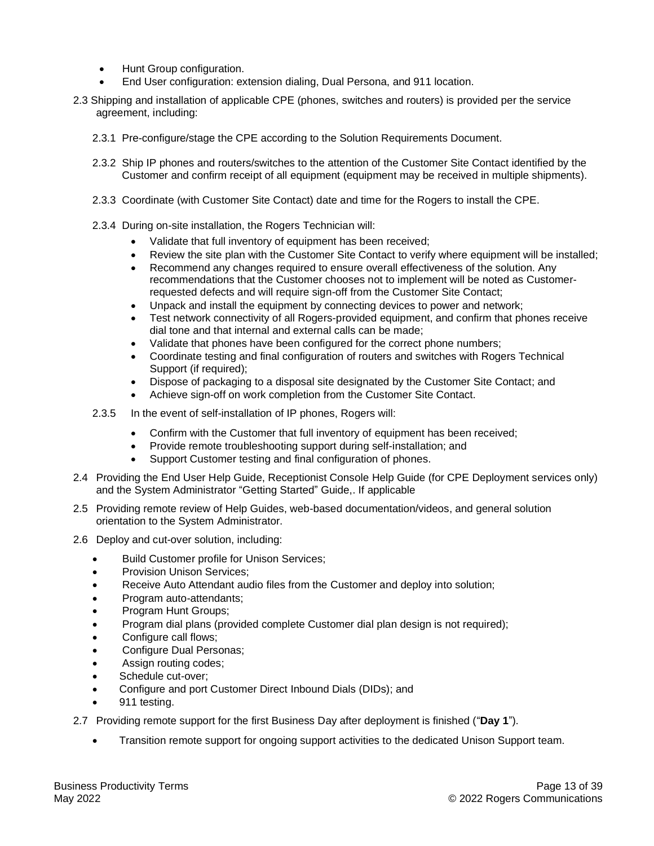- Hunt Group configuration.
- End User configuration: extension dialing, Dual Persona, and 911 location.
- 2.3 Shipping and installation of applicable CPE (phones, switches and routers) is provided per the service agreement, including:
	- 2.3.1 Pre-configure/stage the CPE according to the Solution Requirements Document.
	- 2.3.2 Ship IP phones and routers/switches to the attention of the Customer Site Contact identified by the Customer and confirm receipt of all equipment (equipment may be received in multiple shipments).
	- 2.3.3 Coordinate (with Customer Site Contact) date and time for the Rogers to install the CPE.
	- 2.3.4 During on-site installation, the Rogers Technician will:
		- Validate that full inventory of equipment has been received;
		- Review the site plan with the Customer Site Contact to verify where equipment will be installed;
		- Recommend any changes required to ensure overall effectiveness of the solution. Any recommendations that the Customer chooses not to implement will be noted as Customerrequested defects and will require sign-off from the Customer Site Contact;
		- Unpack and install the equipment by connecting devices to power and network;
		- Test network connectivity of all Rogers-provided equipment, and confirm that phones receive dial tone and that internal and external calls can be made;
		- Validate that phones have been configured for the correct phone numbers;
		- Coordinate testing and final configuration of routers and switches with Rogers Technical Support (if required);
		- Dispose of packaging to a disposal site designated by the Customer Site Contact; and
		- Achieve sign-off on work completion from the Customer Site Contact.
	- 2.3.5 In the event of self-installation of IP phones, Rogers will:
		- Confirm with the Customer that full inventory of equipment has been received;
		- Provide remote troubleshooting support during self-installation; and
		- Support Customer testing and final configuration of phones.
- 2.4 Providing the End User Help Guide, Receptionist Console Help Guide (for CPE Deployment services only) and the System Administrator "Getting Started" Guide,. If applicable
- 2.5 Providing remote review of Help Guides, web-based documentation/videos, and general solution orientation to the System Administrator.
- 2.6 Deploy and cut-over solution, including:
	- Build Customer profile for Unison Services;
	- Provision Unison Services;
	- Receive Auto Attendant audio files from the Customer and deploy into solution;
	- Program auto-attendants;
	- Program Hunt Groups;
	- Program dial plans (provided complete Customer dial plan design is not required);
	- Configure call flows:
	- Configure Dual Personas;
	- Assign routing codes;
	- Schedule cut-over;
	- Configure and port Customer Direct Inbound Dials (DIDs); and
	- 911 testing.
- 2.7 Providing remote support for the first Business Day after deployment is finished ("**Day 1**").
	- Transition remote support for ongoing support activities to the dedicated Unison Support team.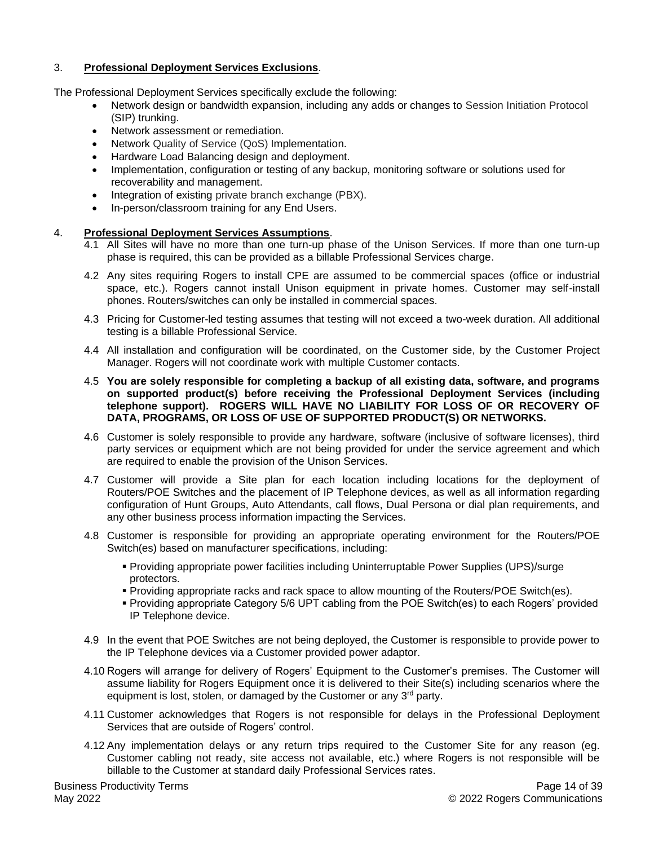## 3. **Professional Deployment Services Exclusions**.

The Professional Deployment Services specifically exclude the following:

- Network design or bandwidth expansion, including any adds or changes to Session Initiation Protocol (SIP) trunking.
- Network assessment or remediation.
- Network Quality of Service (QoS) Implementation.
- Hardware Load Balancing design and deployment.
- Implementation, configuration or testing of any backup, monitoring software or solutions used for recoverability and management.
- Integration of existing private branch exchange (PBX).
- In-person/classroom training for any End Users.

## 4. **Professional Deployment Services Assumptions**.

- 4.1 All Sites will have no more than one turn-up phase of the Unison Services. If more than one turn-up phase is required, this can be provided as a billable Professional Services charge.
- 4.2 Any sites requiring Rogers to install CPE are assumed to be commercial spaces (office or industrial space, etc.). Rogers cannot install Unison equipment in private homes. Customer may self-install phones. Routers/switches can only be installed in commercial spaces.
- 4.3 Pricing for Customer-led testing assumes that testing will not exceed a two-week duration. All additional testing is a billable Professional Service.
- 4.4 All installation and configuration will be coordinated, on the Customer side, by the Customer Project Manager. Rogers will not coordinate work with multiple Customer contacts.
- 4.5 **You are solely responsible for completing a backup of all existing data, software, and programs on supported product(s) before receiving the Professional Deployment Services (including telephone support). ROGERS WILL HAVE NO LIABILITY FOR LOSS OF OR RECOVERY OF DATA, PROGRAMS, OR LOSS OF USE OF SUPPORTED PRODUCT(S) OR NETWORKS.**
- 4.6 Customer is solely responsible to provide any hardware, software (inclusive of software licenses), third party services or equipment which are not being provided for under the service agreement and which are required to enable the provision of the Unison Services.
- 4.7 Customer will provide a Site plan for each location including locations for the deployment of Routers/POE Switches and the placement of IP Telephone devices, as well as all information regarding configuration of Hunt Groups, Auto Attendants, call flows, Dual Persona or dial plan requirements, and any other business process information impacting the Services.
- 4.8 Customer is responsible for providing an appropriate operating environment for the Routers/POE Switch(es) based on manufacturer specifications, including:
	- Providing appropriate power facilities including Uninterruptable Power Supplies (UPS)/surge protectors.
	- Providing appropriate racks and rack space to allow mounting of the Routers/POE Switch(es).
	- Providing appropriate Category 5/6 UPT cabling from the POE Switch(es) to each Rogers' provided IP Telephone device.
- 4.9 In the event that POE Switches are not being deployed, the Customer is responsible to provide power to the IP Telephone devices via a Customer provided power adaptor.
- 4.10 Rogers will arrange for delivery of Rogers' Equipment to the Customer's premises. The Customer will assume liability for Rogers Equipment once it is delivered to their Site(s) including scenarios where the equipment is lost, stolen, or damaged by the Customer or any 3<sup>rd</sup> party.
- 4.11 Customer acknowledges that Rogers is not responsible for delays in the Professional Deployment Services that are outside of Rogers' control.
- 4.12 Any implementation delays or any return trips required to the Customer Site for any reason (eg. Customer cabling not ready, site access not available, etc.) where Rogers is not responsible will be billable to the Customer at standard daily Professional Services rates.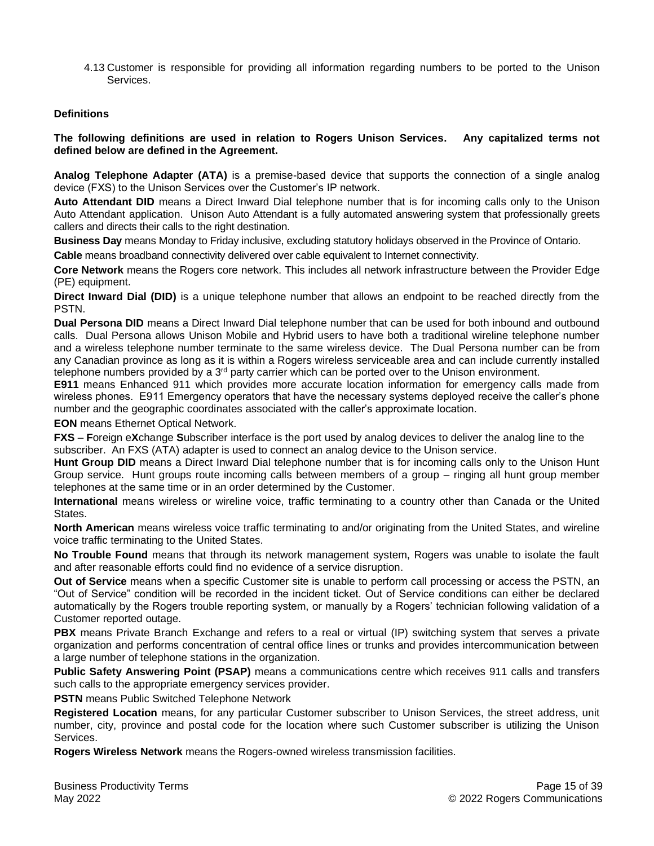4.13 Customer is responsible for providing all information regarding numbers to be ported to the Unison Services.

#### **Definitions**

**The following definitions are used in relation to Rogers Unison Services. Any capitalized terms not defined below are defined in the Agreement.**

**Analog Telephone Adapter (ATA)** is a premise-based device that supports the connection of a single analog device (FXS) to the Unison Services over the Customer's IP network.

**Auto Attendant DID** means a Direct Inward Dial telephone number that is for incoming calls only to the Unison Auto Attendant application. Unison Auto Attendant is a fully automated answering system that professionally greets callers and directs their calls to the right destination.

**Business Day** means Monday to Friday inclusive, excluding statutory holidays observed in the Province of Ontario.

**Cable** means broadband connectivity delivered over cable equivalent to Internet connectivity.

**Core Network** means the Rogers core network. This includes all network infrastructure between the Provider Edge (PE) equipment.

**Direct Inward Dial (DID)** is a unique telephone number that allows an endpoint to be reached directly from the PSTN.

**Dual Persona DID** means a Direct Inward Dial telephone number that can be used for both inbound and outbound calls. Dual Persona allows Unison Mobile and Hybrid users to have both a traditional wireline telephone number and a wireless telephone number terminate to the same wireless device. The Dual Persona number can be from any Canadian province as long as it is within a Rogers wireless serviceable area and can include currently installed telephone numbers provided by a 3<sup>rd</sup> party carrier which can be ported over to the Unison environment.

**E911** means Enhanced 911 which provides more accurate location information for emergency calls made from wireless phones. E911 Emergency operators that have the necessary systems deployed receive the caller's phone number and the geographic coordinates associated with the caller's approximate location.

**EON** means Ethernet Optical Network.

**FXS** – **F**oreign e**X**change **S**ubscriber interface is the port used by analog devices to deliver the analog line to the subscriber. An FXS (ATA) adapter is used to connect an analog device to the Unison service.

**Hunt Group DID** means a Direct Inward Dial telephone number that is for incoming calls only to the Unison Hunt Group service. Hunt groups route incoming calls between members of a group – ringing all hunt group member telephones at the same time or in an order determined by the Customer.

**International** means wireless or wireline voice, traffic terminating to a country other than Canada or the United States.

**North American** means wireless voice traffic terminating to and/or originating from the United States, and wireline voice traffic terminating to the United States.

**No Trouble Found** means that through its network management system, Rogers was unable to isolate the fault and after reasonable efforts could find no evidence of a service disruption.

**Out of Service** means when a specific Customer site is unable to perform call processing or access the PSTN, an "Out of Service" condition will be recorded in the incident ticket. Out of Service conditions can either be declared automatically by the Rogers trouble reporting system, or manually by a Rogers' technician following validation of a Customer reported outage.

**PBX** means Private Branch Exchange and refers to a real or virtual (IP) switching system that serves a private organization and performs concentration of central office lines or trunks and provides intercommunication between a large number of telephone stations in the organization.

**Public Safety Answering Point (PSAP)** means a communications centre which receives 911 calls and transfers such calls to the appropriate emergency services provider.

**PSTN** means Public Switched Telephone Network

**Registered Location** means, for any particular Customer subscriber to Unison Services, the street address, unit number, city, province and postal code for the location where such Customer subscriber is utilizing the Unison Services.

**Rogers Wireless Network** means the Rogers-owned wireless transmission facilities.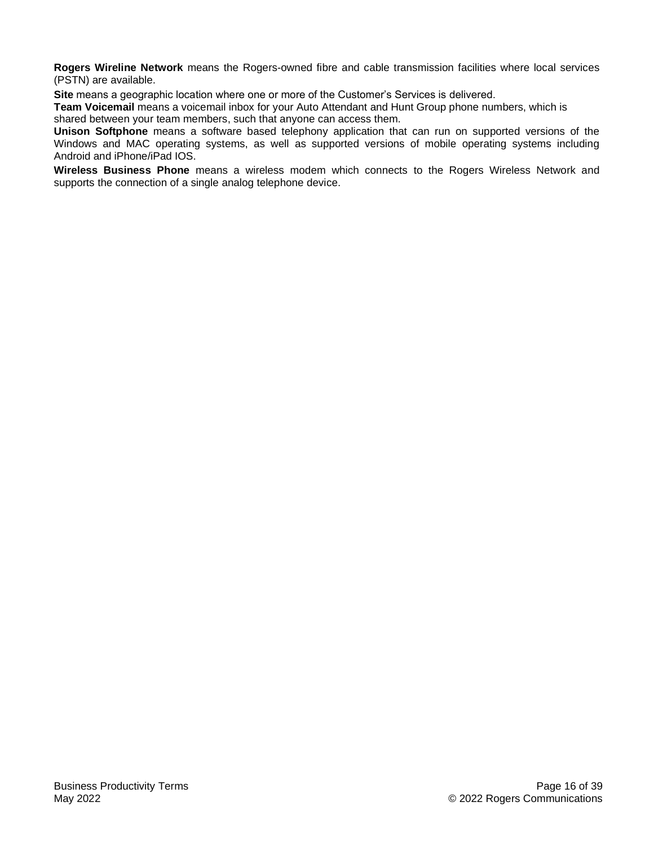**Rogers Wireline Network** means the Rogers-owned fibre and cable transmission facilities where local services (PSTN) are available.

**Site** means a geographic location where one or more of the Customer's Services is delivered.

**Team Voicemail** means a voicemail inbox for your Auto Attendant and Hunt Group phone numbers, which is shared between your team members, such that anyone can access them.

**Unison Softphone** means a software based telephony application that can run on supported versions of the Windows and MAC operating systems, as well as supported versions of mobile operating systems including Android and iPhone/iPad IOS.

**Wireless Business Phone** means a wireless modem which connects to the Rogers Wireless Network and supports the connection of a single analog telephone device.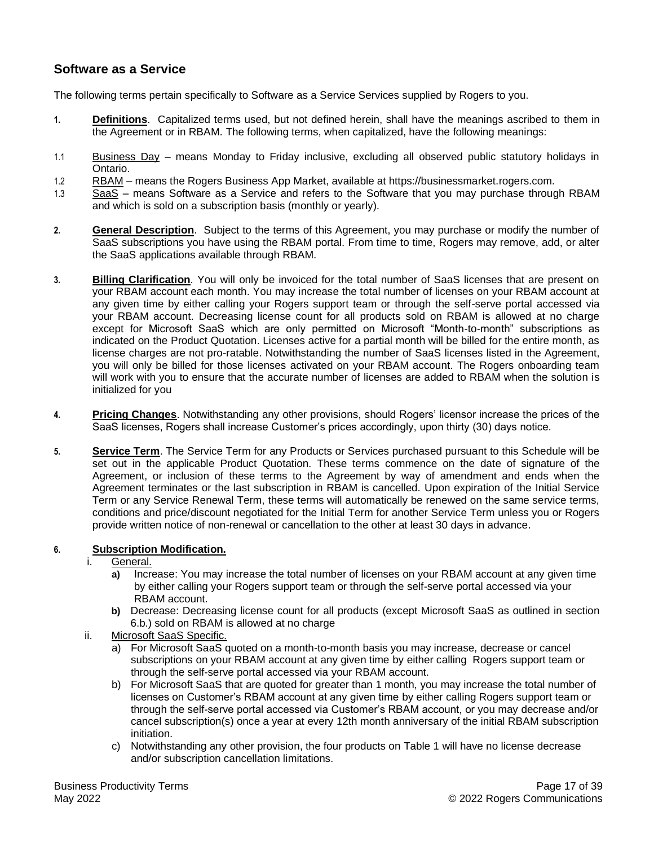# <span id="page-16-0"></span>**Software as a Service**

The following terms pertain specifically to Software as a Service Services supplied by Rogers to you.

- **1. Definitions**. Capitalized terms used, but not defined herein, shall have the meanings ascribed to them in the Agreement or in RBAM. The following terms, when capitalized, have the following meanings:
- 1.1 Business Day means Monday to Friday inclusive, excluding all observed public statutory holidays in Ontario.
- 1.2 RBAM means the Rogers Business App Market, available at https://businessmarket.rogers.com.
- 1.3 SaaS means Software as a Service and refers to the Software that you may purchase through RBAM and which is sold on a subscription basis (monthly or yearly).
- **2. General Description**. Subject to the terms of this Agreement, you may purchase or modify the number of SaaS subscriptions you have using the RBAM portal. From time to time, Rogers may remove, add, or alter the SaaS applications available through RBAM.
- **3. Billing Clarification**. You will only be invoiced for the total number of SaaS licenses that are present on your RBAM account each month. You may increase the total number of licenses on your RBAM account at any given time by either calling your Rogers support team or through the self-serve portal accessed via your RBAM account. Decreasing license count for all products sold on RBAM is allowed at no charge except for Microsoft SaaS which are only permitted on Microsoft "Month-to-month" subscriptions as indicated on the Product Quotation. Licenses active for a partial month will be billed for the entire month, as license charges are not pro-ratable. Notwithstanding the number of SaaS licenses listed in the Agreement, you will only be billed for those licenses activated on your RBAM account. The Rogers onboarding team will work with you to ensure that the accurate number of licenses are added to RBAM when the solution is initialized for you
- **4. Pricing Changes**. Notwithstanding any other provisions, should Rogers' licensor increase the prices of the SaaS licenses, Rogers shall increase Customer's prices accordingly, upon thirty (30) days notice.
- **5. Service Term**. The Service Term for any Products or Services purchased pursuant to this Schedule will be set out in the applicable Product Quotation. These terms commence on the date of signature of the Agreement, or inclusion of these terms to the Agreement by way of amendment and ends when the Agreement terminates or the last subscription in RBAM is cancelled. Upon expiration of the Initial Service Term or any Service Renewal Term, these terms will automatically be renewed on the same service terms, conditions and price/discount negotiated for the Initial Term for another Service Term unless you or Rogers provide written notice of non-renewal or cancellation to the other at least 30 days in advance.

## **6. Subscription Modification.**

#### i. General.

- **a)** Increase: You may increase the total number of licenses on your RBAM account at any given time by either calling your Rogers support team or through the self-serve portal accessed via your RBAM account.
- **b)** Decrease: Decreasing license count for all products (except Microsoft SaaS as outlined in section 6.b.) sold on RBAM is allowed at no charge
- ii. Microsoft SaaS Specific.
	- a) For Microsoft SaaS quoted on a month-to-month basis you may increase, decrease or cancel subscriptions on your RBAM account at any given time by either calling Rogers support team or through the self-serve portal accessed via your RBAM account.
	- b) For Microsoft SaaS that are quoted for greater than 1 month, you may increase the total number of licenses on Customer's RBAM account at any given time by either calling Rogers support team or through the self-serve portal accessed via Customer's RBAM account, or you may decrease and/or cancel subscription(s) once a year at every 12th month anniversary of the initial RBAM subscription initiation.
	- c) Notwithstanding any other provision, the four products on Table 1 will have no license decrease and/or subscription cancellation limitations.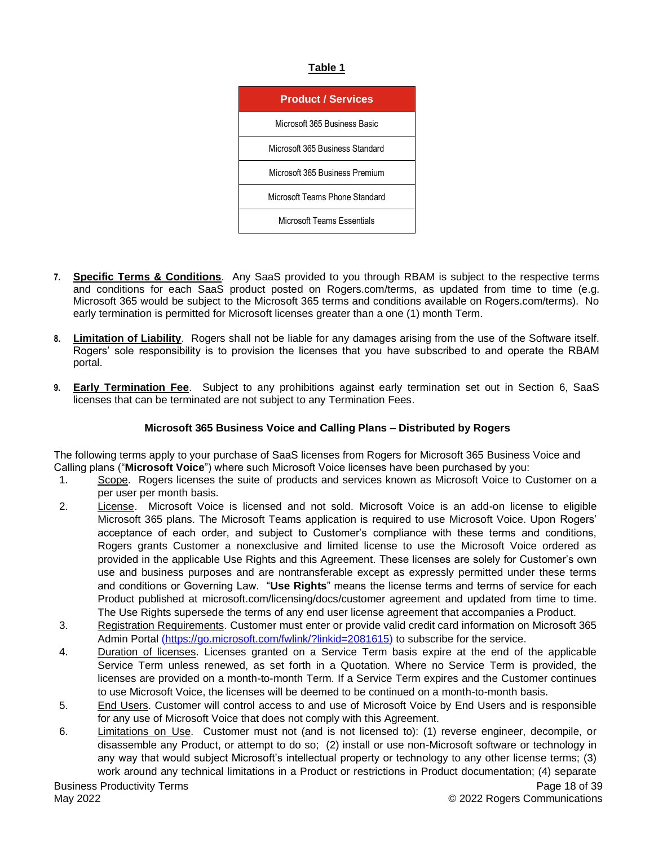## **Table 1**



- **7. Specific Terms & Conditions**. Any SaaS provided to you through RBAM is subject to the respective terms and conditions for each SaaS product posted on Rogers.com/terms, as updated from time to time (e.g. Microsoft 365 would be subject to the Microsoft 365 terms and conditions available on Rogers.com/terms). No early termination is permitted for Microsoft licenses greater than a one (1) month Term.
- **8. Limitation of Liability**. Rogers shall not be liable for any damages arising from the use of the Software itself. Rogers' sole responsibility is to provision the licenses that you have subscribed to and operate the RBAM portal.
- **9. Early Termination Fee**.Subject to any prohibitions against early termination set out in Section 6, SaaS licenses that can be terminated are not subject to any Termination Fees.

## **Microsoft 365 Business Voice and Calling Plans – Distributed by Rogers**

The following terms apply to your purchase of SaaS licenses from Rogers for Microsoft 365 Business Voice and Calling plans ("**Microsoft Voice**") where such Microsoft Voice licenses have been purchased by you:

- 1. Scope. Rogers licenses the suite of products and services known as Microsoft Voice to Customer on a per user per month basis.
- 2. License. Microsoft Voice is licensed and not sold. Microsoft Voice is an add-on license to eligible Microsoft 365 plans. The Microsoft Teams application is required to use Microsoft Voice. Upon Rogers' acceptance of each order, and subject to Customer's compliance with these terms and conditions, Rogers grants Customer a nonexclusive and limited license to use the Microsoft Voice ordered as provided in the applicable Use Rights and this Agreement. These licenses are solely for Customer's own use and business purposes and are nontransferable except as expressly permitted under these terms and conditions or Governing Law. "**Use Rights**" means the license terms and terms of service for each Product published at microsoft.com/licensing/docs/customer agreement and updated from time to time. The Use Rights supersede the terms of any end user license agreement that accompanies a Product.
- 3. Registration Requirements. Customer must enter or provide valid credit card information on Microsoft 365 Admin Portal [\(https://go.microsoft.com/fwlink/?linkid=2081615\)](https://go.microsoft.com/fwlink/?linkid=2081615) to subscribe for the service.
- 4. Duration of licenses. Licenses granted on a Service Term basis expire at the end of the applicable Service Term unless renewed, as set forth in a Quotation. Where no Service Term is provided, the licenses are provided on a month-to-month Term. If a Service Term expires and the Customer continues to use Microsoft Voice, the licenses will be deemed to be continued on a month-to-month basis.
- 5. End Users. Customer will control access to and use of Microsoft Voice by End Users and is responsible for any use of Microsoft Voice that does not comply with this Agreement.
- 6. Limitations on Use. Customer must not (and is not licensed to): (1) reverse engineer, decompile, or disassemble any Product, or attempt to do so; (2) install or use non-Microsoft software or technology in any way that would subject Microsoft's intellectual property or technology to any other license terms; (3) work around any technical limitations in a Product or restrictions in Product documentation; (4) separate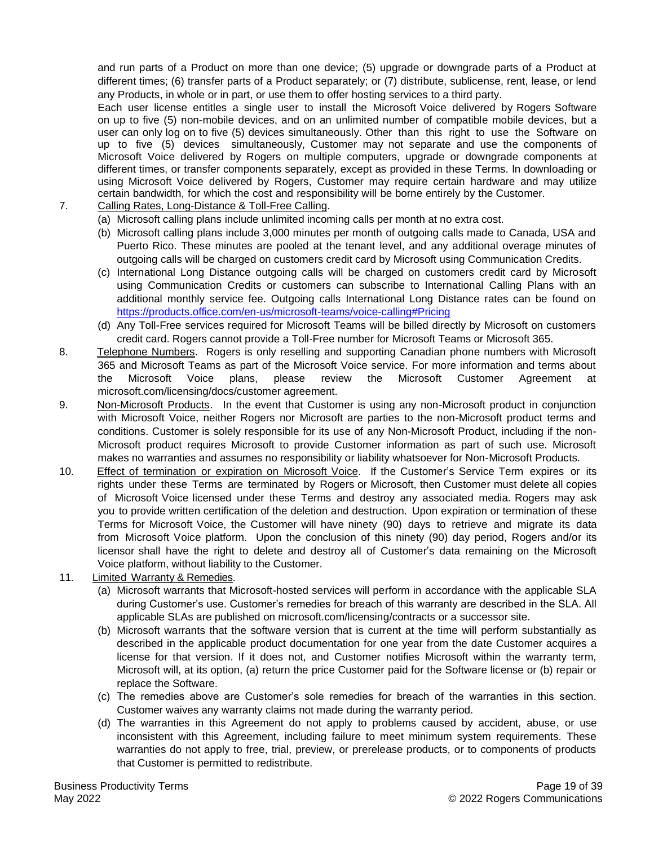and run parts of a Product on more than one device; (5) upgrade or downgrade parts of a Product at different times; (6) transfer parts of a Product separately; or (7) distribute, sublicense, rent, lease, or lend any Products, in whole or in part, or use them to offer hosting services to a third party.

Each user license entitles a single user to install the Microsoft Voice delivered by Rogers Software on up to five (5) non-mobile devices, and on an unlimited number of compatible mobile devices, but a user can only log on to five (5) devices simultaneously. Other than this right to use the Software on up to five (5) devices simultaneously, Customer may not separate and use the components of Microsoft Voice delivered by Rogers on multiple computers, upgrade or downgrade components at different times, or transfer components separately, except as provided in these Terms. In downloading or using Microsoft Voice delivered by Rogers, Customer may require certain hardware and may utilize certain bandwidth, for which the cost and responsibility will be borne entirely by the Customer.

- 7. Calling Rates, Long-Distance & Toll-Free Calling.
	- (a) Microsoft calling plans include unlimited incoming calls per month at no extra cost.
	- (b) Microsoft calling plans include 3,000 minutes per month of outgoing calls made to Canada, USA and Puerto Rico. These minutes are pooled at the tenant level, and any additional overage minutes of outgoing calls will be charged on customers credit card by Microsoft using Communication Credits.
	- (c) International Long Distance outgoing calls will be charged on customers credit card by Microsoft using Communication Credits or customers can subscribe to International Calling Plans with an additional monthly service fee. Outgoing calls International Long Distance rates can be found on <https://products.office.com/en-us/microsoft-teams/voice-calling#Pricing>
	- (d) Any Toll-Free services required for Microsoft Teams will be billed directly by Microsoft on customers credit card. Rogers cannot provide a Toll-Free number for Microsoft Teams or Microsoft 365.
- 8. Telephone Numbers. Rogers is only reselling and supporting Canadian phone numbers with Microsoft 365 and Microsoft Teams as part of the Microsoft Voice service. For more information and terms about the Microsoft Voice plans, please review the Microsoft Customer Agreement microsoft.com/licensing/docs/customer agreement.
- 9. Non-Microsoft Products. In the event that Customer is using any non-Microsoft product in conjunction with Microsoft Voice, neither Rogers nor Microsoft are parties to the non-Microsoft product terms and conditions. Customer is solely responsible for its use of any Non-Microsoft Product, including if the non-Microsoft product requires Microsoft to provide Customer information as part of such use. Microsoft makes no warranties and assumes no responsibility or liability whatsoever for Non-Microsoft Products.
- 10. Effect of termination or expiration on Microsoft Voice. If the Customer's Service Term expires or its rights under these Terms are terminated by Rogers or Microsoft, then Customer must delete all copies of Microsoft Voice licensed under these Terms and destroy any associated media. Rogers may ask you to provide written certification of the deletion and destruction. Upon expiration or termination of these Terms for Microsoft Voice, the Customer will have ninety (90) days to retrieve and migrate its data from Microsoft Voice platform. Upon the conclusion of this ninety (90) day period, Rogers and/or its licensor shall have the right to delete and destroy all of Customer's data remaining on the Microsoft Voice platform, without liability to the Customer.
- 11. Limited Warranty & Remedies.
	- (a) Microsoft warrants that Microsoft-hosted services will perform in accordance with the applicable SLA during Customer's use. Customer's remedies for breach of this warranty are described in the SLA. All applicable SLAs are published on microsoft.com/licensing/contracts or a successor site.
	- (b) Microsoft warrants that the software version that is current at the time will perform substantially as described in the applicable product documentation for one year from the date Customer acquires a license for that version. If it does not, and Customer notifies Microsoft within the warranty term, Microsoft will, at its option, (a) return the price Customer paid for the Software license or (b) repair or replace the Software.
	- (c) The remedies above are Customer's sole remedies for breach of the warranties in this section. Customer waives any warranty claims not made during the warranty period.
	- (d) The warranties in this Agreement do not apply to problems caused by accident, abuse, or use inconsistent with this Agreement, including failure to meet minimum system requirements. These warranties do not apply to free, trial, preview, or prerelease products, or to components of products that Customer is permitted to redistribute.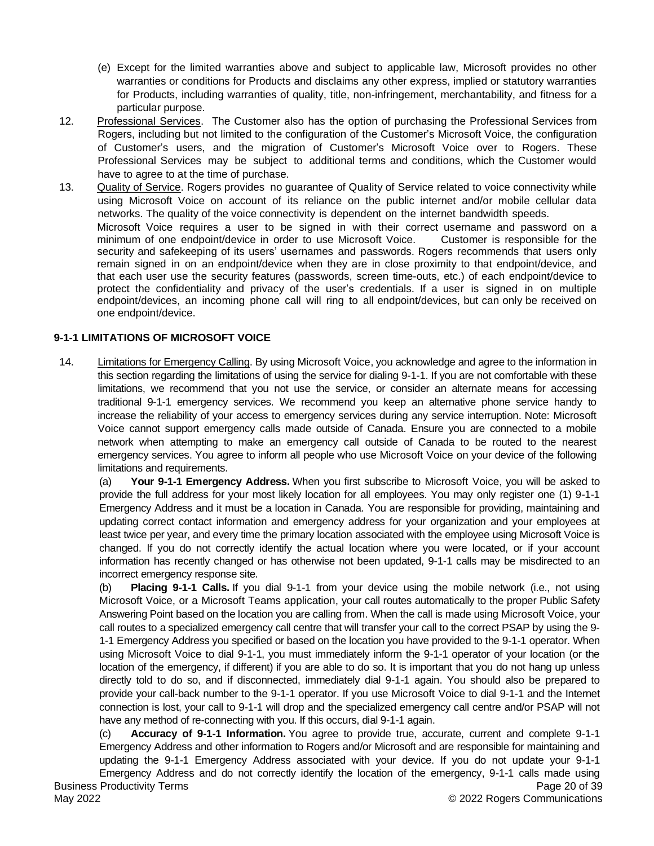- (e) Except for the limited warranties above and subject to applicable law, Microsoft provides no other warranties or conditions for Products and disclaims any other express, implied or statutory warranties for Products, including warranties of quality, title, non-infringement, merchantability, and fitness for a particular purpose.
- 12. Professional Services. The Customer also has the option of purchasing the Professional Services from Rogers, including but not limited to the configuration of the Customer's Microsoft Voice, the configuration of Customer's users, and the migration of Customer's Microsoft Voice over to Rogers. These Professional Services may be subject to additional terms and conditions, which the Customer would have to agree to at the time of purchase.
- 13. Quality of Service. Rogers provides no guarantee of Quality of Service related to voice connectivity while using Microsoft Voice on account of its reliance on the public internet and/or mobile cellular data networks. The quality of the voice connectivity is dependent on the internet bandwidth speeds. Microsoft Voice requires a user to be signed in with their correct username and password on a minimum of one endpoint/device in order to use Microsoft Voice. Customer is responsible for the security and safekeeping of its users' usernames and passwords. Rogers recommends that users only remain signed in on an endpoint/device when they are in close proximity to that endpoint/device, and that each user use the security features (passwords, screen time-outs, etc.) of each endpoint/device to protect the confidentiality and privacy of the user's credentials. If a user is signed in on multiple endpoint/devices, an incoming phone call will ring to all endpoint/devices, but can only be received on one endpoint/device.

## **9-1-1 LIMITATIONS OF MICROSOFT VOICE**

14. Limitations for Emergency Calling. By using Microsoft Voice, you acknowledge and agree to the information in this section regarding the limitations of using the service for dialing 9-1-1. If you are not comfortable with these limitations, we recommend that you not use the service, or consider an alternate means for accessing traditional 9-1-1 emergency services. We recommend you keep an alternative phone service handy to increase the reliability of your access to emergency services during any service interruption. Note: Microsoft Voice cannot support emergency calls made outside of Canada. Ensure you are connected to a mobile network when attempting to make an emergency call outside of Canada to be routed to the nearest emergency services. You agree to inform all people who use Microsoft Voice on your device of the following limitations and requirements.

(a) **Your 9-1-1 Emergency Address.** When you first subscribe to Microsoft Voice, you will be asked to provide the full address for your most likely location for all employees. You may only register one (1) 9-1-1 Emergency Address and it must be a location in Canada. You are responsible for providing, maintaining and updating correct contact information and emergency address for your organization and your employees at least twice per year, and every time the primary location associated with the employee using Microsoft Voice is changed. If you do not correctly identify the actual location where you were located, or if your account information has recently changed or has otherwise not been updated, 9-1-1 calls may be misdirected to an incorrect emergency response site.

(b) **Placing 9-1-1 Calls.** If you dial 9-1-1 from your device using the mobile network (i.e., not using Microsoft Voice, or a Microsoft Teams application, your call routes automatically to the proper Public Safety Answering Point based on the location you are calling from. When the call is made using Microsoft Voice, your call routes to a specialized emergency call centre that will transfer your call to the correct PSAP by using the 9- 1-1 Emergency Address you specified or based on the location you have provided to the 9-1-1 operator. When using Microsoft Voice to dial 9-1-1, you must immediately inform the 9-1-1 operator of your location (or the location of the emergency, if different) if you are able to do so. It is important that you do not hang up unless directly told to do so, and if disconnected, immediately dial 9-1-1 again. You should also be prepared to provide your call-back number to the 9-1-1 operator. If you use Microsoft Voice to dial 9-1-1 and the Internet connection is lost, your call to 9-1-1 will drop and the specialized emergency call centre and/or PSAP will not have any method of re-connecting with you. If this occurs, dial 9-1-1 again.

(c) **Accuracy of 9-1-1 Information.** You agree to provide true, accurate, current and complete 9-1-1 Emergency Address and other information to Rogers and/or Microsoft and are responsible for maintaining and updating the 9-1-1 Emergency Address associated with your device. If you do not update your 9-1-1 Emergency Address and do not correctly identify the location of the emergency, 9-1-1 calls made using

Page 20 of 39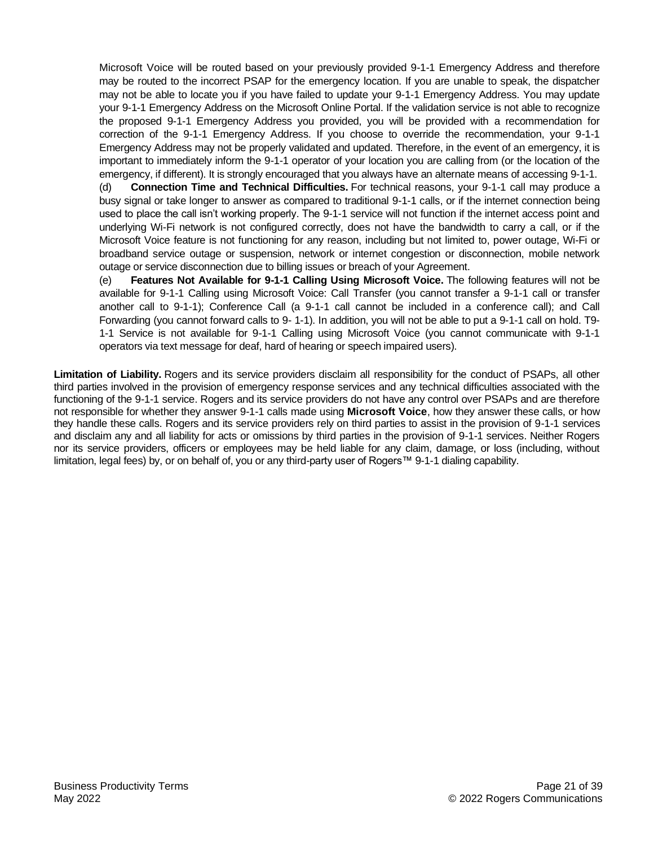Microsoft Voice will be routed based on your previously provided 9-1-1 Emergency Address and therefore may be routed to the incorrect PSAP for the emergency location. If you are unable to speak, the dispatcher may not be able to locate you if you have failed to update your 9-1-1 Emergency Address. You may update your 9-1-1 Emergency Address on the Microsoft Online Portal. If the validation service is not able to recognize the proposed 9-1-1 Emergency Address you provided, you will be provided with a recommendation for correction of the 9-1-1 Emergency Address. If you choose to override the recommendation, your 9-1-1 Emergency Address may not be properly validated and updated. Therefore, in the event of an emergency, it is important to immediately inform the 9-1-1 operator of your location you are calling from (or the location of the emergency, if different). It is strongly encouraged that you always have an alternate means of accessing 9-1-1.

(d) **Connection Time and Technical Difficulties.** For technical reasons, your 9-1-1 call may produce a busy signal or take longer to answer as compared to traditional 9-1-1 calls, or if the internet connection being used to place the call isn't working properly. The 9-1-1 service will not function if the internet access point and underlying Wi-Fi network is not configured correctly, does not have the bandwidth to carry a call, or if the Microsoft Voice feature is not functioning for any reason, including but not limited to, power outage, Wi-Fi or broadband service outage or suspension, network or internet congestion or disconnection, mobile network outage or service disconnection due to billing issues or breach of your Agreement.

(e) **Features Not Available for 9-1-1 Calling Using Microsoft Voice.** The following features will not be available for 9-1-1 Calling using Microsoft Voice: Call Transfer (you cannot transfer a 9-1-1 call or transfer another call to 9-1-1); Conference Call (a 9-1-1 call cannot be included in a conference call); and Call Forwarding (you cannot forward calls to 9- 1-1). In addition, you will not be able to put a 9-1-1 call on hold. T9- 1-1 Service is not available for 9-1-1 Calling using Microsoft Voice (you cannot communicate with 9-1-1 operators via text message for deaf, hard of hearing or speech impaired users).

**Limitation of Liability.** Rogers and its service providers disclaim all responsibility for the conduct of PSAPs, all other third parties involved in the provision of emergency response services and any technical difficulties associated with the functioning of the 9-1-1 service. Rogers and its service providers do not have any control over PSAPs and are therefore not responsible for whether they answer 9-1-1 calls made using **Microsoft Voice**, how they answer these calls, or how they handle these calls. Rogers and its service providers rely on third parties to assist in the provision of 9-1-1 services and disclaim any and all liability for acts or omissions by third parties in the provision of 9-1-1 services. Neither Rogers nor its service providers, officers or employees may be held liable for any claim, damage, or loss (including, without limitation, legal fees) by, or on behalf of, you or any third-party user of Rogers™ 9-1-1 dialing capability.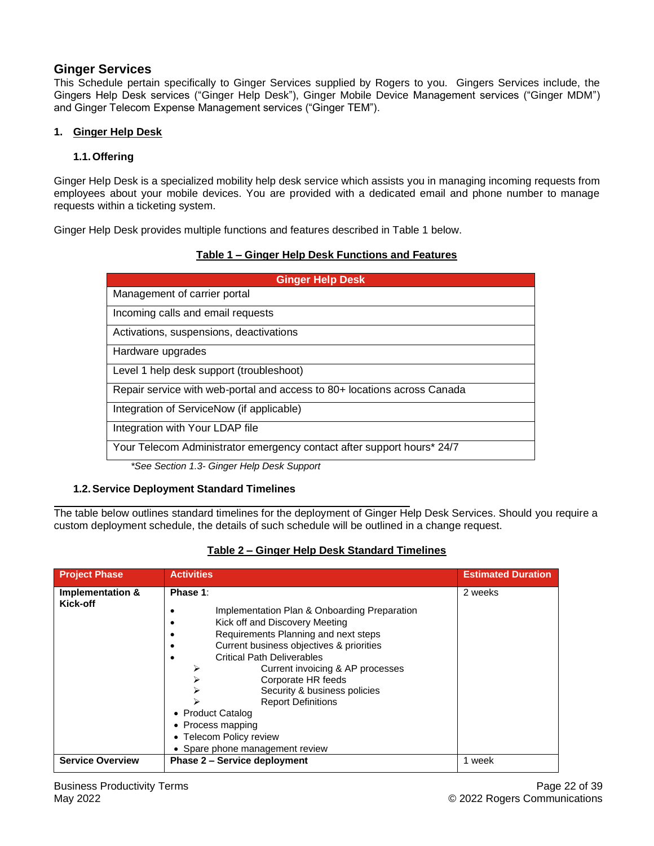# **Ginger Services**

This Schedule pertain specifically to Ginger Services supplied by Rogers to you. Gingers Services include, the Gingers Help Desk services ("Ginger Help Desk"), Ginger Mobile Device Management services ("Ginger MDM") and Ginger Telecom Expense Management services ("Ginger TEM").

## **1. Ginger Help Desk**

## **1.1.Offering**

Ginger Help Desk is a specialized mobility help desk service which assists you in managing incoming requests from employees about your mobile devices. You are provided with a dedicated email and phone number to manage requests within a ticketing system.

Ginger Help Desk provides multiple functions and features described in Table 1 below.

| Table 1 – Ginger Help Desk Functions and Features |
|---------------------------------------------------|
|---------------------------------------------------|

| <b>Ginger Help Desk</b>                                                  |
|--------------------------------------------------------------------------|
| Management of carrier portal                                             |
| Incoming calls and email requests                                        |
| Activations, suspensions, deactivations                                  |
| Hardware upgrades                                                        |
| Level 1 help desk support (troubleshoot)                                 |
| Repair service with web-portal and access to 80+ locations across Canada |
| Integration of ServiceNow (if applicable)                                |
| Integration with Your LDAP file                                          |
| Your Telecom Administrator emergency contact after support hours* 24/7   |

*\*See Section 1.3- Ginger Help Desk Support*

## **1.2.Service Deployment Standard Timelines**

The table below outlines standard timelines for the deployment of Ginger Help Desk Services. Should you require a custom deployment schedule, the details of such schedule will be outlined in a change request.

| <b>Project Phase</b>         | <b>Activities</b>                                                                                                                                                                                                                                                                                                                                                                                                                                       | <b>Estimated Duration</b> |
|------------------------------|---------------------------------------------------------------------------------------------------------------------------------------------------------------------------------------------------------------------------------------------------------------------------------------------------------------------------------------------------------------------------------------------------------------------------------------------------------|---------------------------|
| Implementation &<br>Kick-off | Phase 1:<br>Implementation Plan & Onboarding Preparation<br>Kick off and Discovery Meeting<br>Requirements Planning and next steps<br>Current business objectives & priorities<br><b>Critical Path Deliverables</b><br>Current invoicing & AP processes<br>⋗<br>Corporate HR feeds<br>Security & business policies<br><b>Report Definitions</b><br>• Product Catalog<br>• Process mapping<br>• Telecom Policy review<br>• Spare phone management review | 2 weeks                   |
| <b>Service Overview</b>      | <b>Phase 2 – Service deployment</b>                                                                                                                                                                                                                                                                                                                                                                                                                     | 1 week                    |

## **Table 2 – Ginger Help Desk Standard Timelines**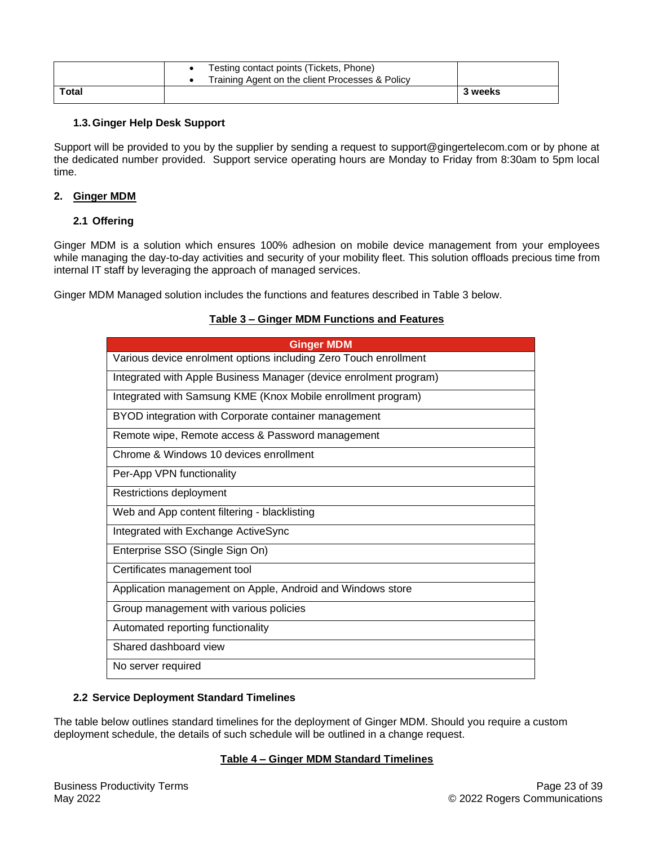|              | Testing contact points (Tickets, Phone)<br>Training Agent on the client Processes & Policy |         |
|--------------|--------------------------------------------------------------------------------------------|---------|
| <b>Total</b> |                                                                                            | 3 weeks |

## **1.3.Ginger Help Desk Support**

Support will be provided to you by the supplier by sending a request to support@gingertelecom.com or by phone at the dedicated number provided. Support service operating hours are Monday to Friday from 8:30am to 5pm local time.

## **2. Ginger MDM**

## **2.1 Offering**

Ginger MDM is a solution which ensures 100% adhesion on mobile device management from your employees while managing the day-to-day activities and security of your mobility fleet. This solution offloads precious time from internal IT staff by leveraging the approach of managed services.

Ginger MDM Managed solution includes the functions and features described in Table 3 below.

#### **Table 3 – Ginger MDM Functions and Features**

| <b>Ginger MDM</b>                                                 |
|-------------------------------------------------------------------|
| Various device enrolment options including Zero Touch enrollment  |
| Integrated with Apple Business Manager (device enrolment program) |
| Integrated with Samsung KME (Knox Mobile enrollment program)      |
| BYOD integration with Corporate container management              |
| Remote wipe, Remote access & Password management                  |
| Chrome & Windows 10 devices enrollment                            |
| Per-App VPN functionality                                         |
| Restrictions deployment                                           |
| Web and App content filtering - blacklisting                      |
| Integrated with Exchange ActiveSync                               |
| Enterprise SSO (Single Sign On)                                   |
| Certificates management tool                                      |
| Application management on Apple, Android and Windows store        |
| Group management with various policies                            |
| Automated reporting functionality                                 |
| Shared dashboard view                                             |
| No server required                                                |

## **2.2 Service Deployment Standard Timelines**

The table below outlines standard timelines for the deployment of Ginger MDM. Should you require a custom deployment schedule, the details of such schedule will be outlined in a change request.

## **Table 4 – Ginger MDM Standard Timelines**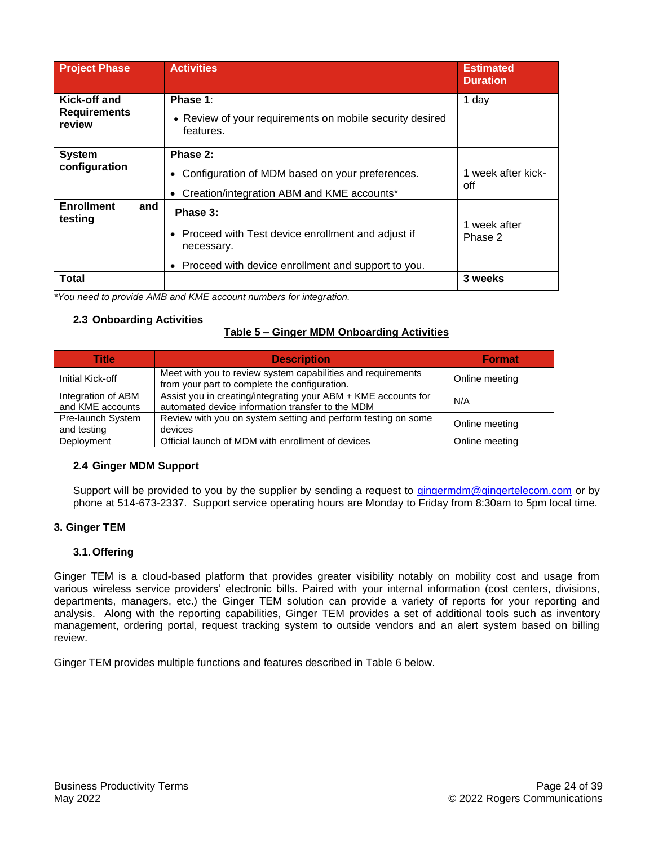| <b>Project Phase</b>                          | <b>Activities</b>                                                                                                                     | <b>Estimated</b><br><b>Duration</b> |
|-----------------------------------------------|---------------------------------------------------------------------------------------------------------------------------------------|-------------------------------------|
| Kick-off and<br><b>Requirements</b><br>review | Phase 1:<br>• Review of your requirements on mobile security desired<br>features.                                                     | 1 day                               |
| <b>System</b><br>configuration                | Phase 2:<br>Configuration of MDM based on your preferences.<br>$\bullet$<br>Creation/integration ABM and KME accounts*<br>$\bullet$   | 1 week after kick-<br>off           |
| <b>Enrollment</b><br>and<br>testing           | Phase 3:<br>• Proceed with Test device enrollment and adjust if<br>necessary.<br>• Proceed with device enrollment and support to you. | 1 week after<br>Phase 2             |
| Total                                         |                                                                                                                                       | 3 weeks                             |

*\*You need to provide AMB and KME account numbers for integration.*

## **2.3 Onboarding Activities**

## **Table 5 – Ginger MDM Onboarding Activities**

| <b>Title</b>                           | <b>Description</b>                                                                                                 | <b>Format</b>  |
|----------------------------------------|--------------------------------------------------------------------------------------------------------------------|----------------|
| Initial Kick-off                       | Meet with you to review system capabilities and requirements<br>from your part to complete the configuration.      | Online meeting |
| Integration of ABM<br>and KME accounts | Assist you in creating/integrating your ABM + KME accounts for<br>automated device information transfer to the MDM | N/A            |
| Pre-launch System<br>and testing       | Review with you on system setting and perform testing on some<br>devices                                           | Online meeting |
| Deployment                             | Official launch of MDM with enrollment of devices                                                                  | Online meeting |

## **2.4 Ginger MDM Support**

Support will be provided to you by the supplier by sending a request to [gingermdm@gingertelecom.com](mailto:gingermdm@gingertelecom.com) or by phone at 514-673-2337. Support service operating hours are Monday to Friday from 8:30am to 5pm local time.

## **3. Ginger TEM**

## **3.1.Offering**

Ginger TEM is a cloud-based platform that provides greater visibility notably on mobility cost and usage from various wireless service providers' electronic bills. Paired with your internal information (cost centers, divisions, departments, managers, etc.) the Ginger TEM solution can provide a variety of reports for your reporting and analysis. Along with the reporting capabilities, Ginger TEM provides a set of additional tools such as inventory management, ordering portal, request tracking system to outside vendors and an alert system based on billing review.

Ginger TEM provides multiple functions and features described in Table 6 below.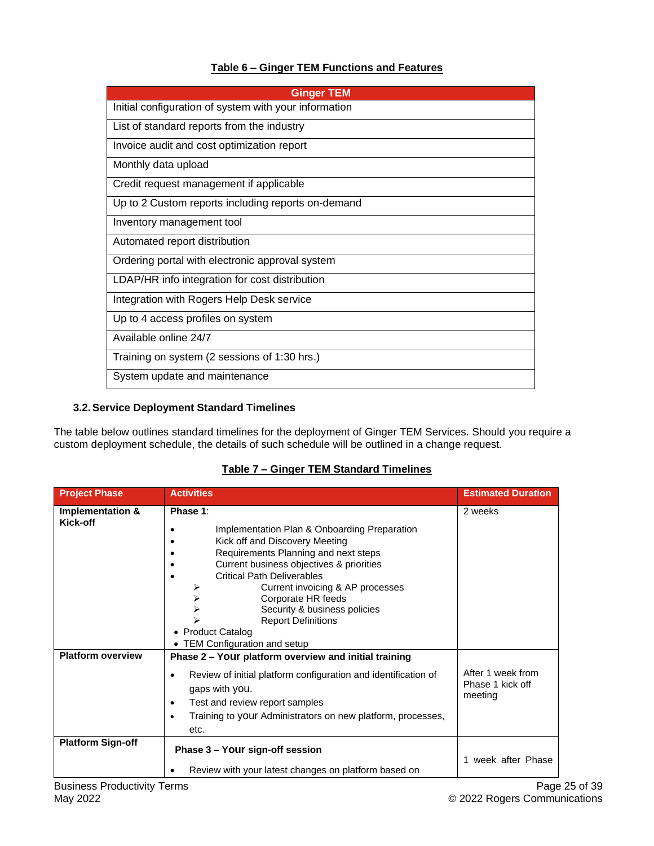# **Table 6 – Ginger TEM Functions and Features**

| <b>Ginger TEM</b>                                     |
|-------------------------------------------------------|
| Initial configuration of system with your information |
| List of standard reports from the industry            |
| Invoice audit and cost optimization report            |
| Monthly data upload                                   |
| Credit request management if applicable               |
| Up to 2 Custom reports including reports on-demand    |
| Inventory management tool                             |
| Automated report distribution                         |
| Ordering portal with electronic approval system       |
| LDAP/HR info integration for cost distribution        |
| Integration with Rogers Help Desk service             |
| Up to 4 access profiles on system                     |
| Available online 24/7                                 |
| Training on system (2 sessions of 1:30 hrs.)          |
| System update and maintenance                         |

## **3.2.Service Deployment Standard Timelines**

The table below outlines standard timelines for the deployment of Ginger TEM Services. Should you require a custom deployment schedule, the details of such schedule will be outlined in a change request.

| <b>Project Phase</b>         | <b>Activities</b>                                                                                                                                                                                                                                                                                                                                                    | <b>Estimated Duration</b>                        |
|------------------------------|----------------------------------------------------------------------------------------------------------------------------------------------------------------------------------------------------------------------------------------------------------------------------------------------------------------------------------------------------------------------|--------------------------------------------------|
| Implementation &<br>Kick-off | Phase 1:<br>Implementation Plan & Onboarding Preparation<br>Kick off and Discovery Meeting<br>Requirements Planning and next steps<br>Current business objectives & priorities<br><b>Critical Path Deliverables</b><br>Current invoicing & AP processes<br>Corporate HR feeds<br>⋗<br>Security & business policies<br><b>Report Definitions</b><br>• Product Catalog | 2 weeks                                          |
| <b>Platform overview</b>     | • TEM Configuration and setup<br>Phase 2 - Your platform overview and initial training<br>Review of initial platform configuration and identification of<br>٠<br>gaps with you.<br>Test and review report samples<br>$\bullet$<br>Training to your Administrators on new platform, processes,<br>$\bullet$<br>etc.                                                   | After 1 week from<br>Phase 1 kick off<br>meeting |
| <b>Platform Sign-off</b>     | Phase 3 – Your sign-off session<br>Review with your latest changes on platform based on                                                                                                                                                                                                                                                                              | week after Phase                                 |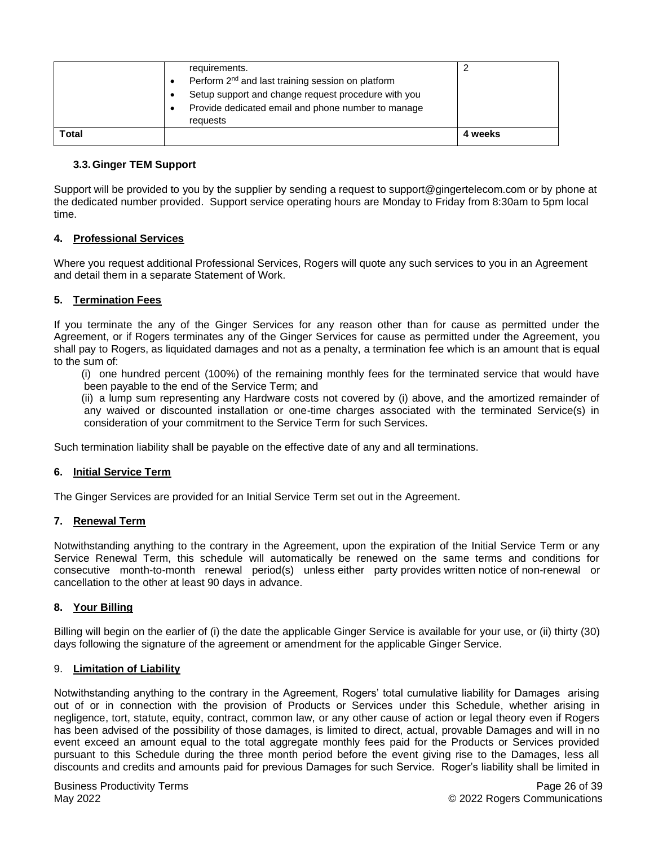|       | requirements.                                                 |         |
|-------|---------------------------------------------------------------|---------|
|       | Perform 2 <sup>nd</sup> and last training session on platform |         |
|       | Setup support and change request procedure with you           |         |
|       | Provide dedicated email and phone number to manage<br>٠       |         |
|       | requests                                                      |         |
| Total |                                                               | 4 weeks |

## **3.3.Ginger TEM Support**

Support will be provided to you by the supplier by sending a request to support@gingertelecom.com or by phone at the dedicated number provided. Support service operating hours are Monday to Friday from 8:30am to 5pm local time.

## **4. Professional Services**

Where you request additional Professional Services, Rogers will quote any such services to you in an Agreement and detail them in a separate Statement of Work.

## **5. Termination Fees**

If you terminate the any of the Ginger Services for any reason other than for cause as permitted under the Agreement, or if Rogers terminates any of the Ginger Services for cause as permitted under the Agreement, you shall pay to Rogers, as liquidated damages and not as a penalty, a termination fee which is an amount that is equal to the sum of:

(i) one hundred percent (100%) of the remaining monthly fees for the terminated service that would have been payable to the end of the Service Term; and

(ii) a lump sum representing any Hardware costs not covered by (i) above, and the amortized remainder of any waived or discounted installation or one-time charges associated with the terminated Service(s) in consideration of your commitment to the Service Term for such Services.

Such termination liability shall be payable on the effective date of any and all terminations.

## **6. Initial Service Term**

The Ginger Services are provided for an Initial Service Term set out in the Agreement.

## **7. Renewal Term**

Notwithstanding anything to the contrary in the Agreement, upon the expiration of the Initial Service Term or any Service Renewal Term, this schedule will automatically be renewed on the same terms and conditions for consecutive month-to-month renewal period(s) unless either party provides written notice of non-renewal or cancellation to the other at least 90 days in advance.

## **8. Your Billing**

Billing will begin on the earlier of (i) the date the applicable Ginger Service is available for your use, or (ii) thirty (30) days following the signature of the agreement or amendment for the applicable Ginger Service.

## 9. **Limitation of Liability**

Notwithstanding anything to the contrary in the Agreement, Rogers' total cumulative liability for Damages arising out of or in connection with the provision of Products or Services under this Schedule, whether arising in negligence, tort, statute, equity, contract, common law, or any other cause of action or legal theory even if Rogers has been advised of the possibility of those damages, is limited to direct, actual, provable Damages and will in no event exceed an amount equal to the total aggregate monthly fees paid for the Products or Services provided pursuant to this Schedule during the three month period before the event giving rise to the Damages, less all discounts and credits and amounts paid for previous Damages for such Service. Roger's liability shall be limited in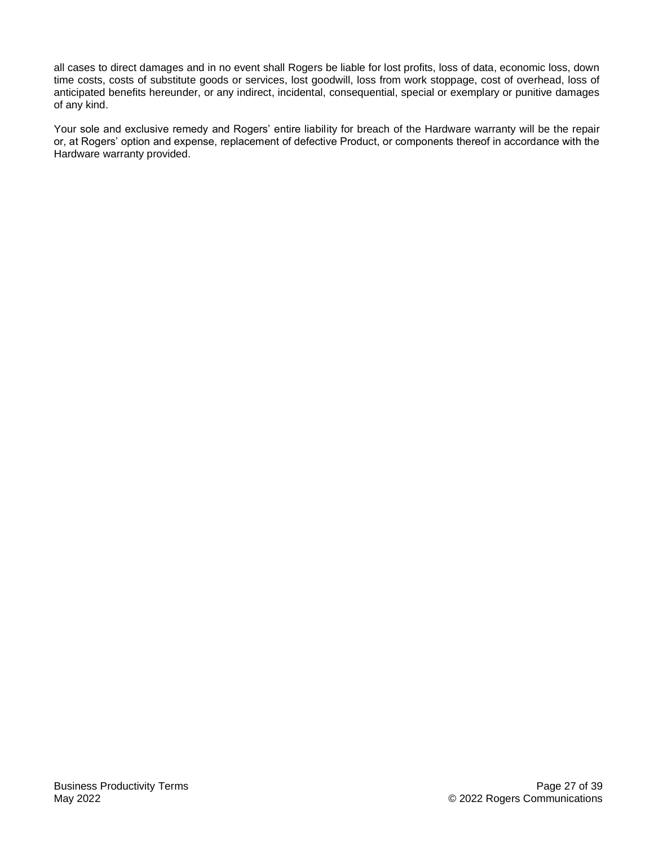all cases to direct damages and in no event shall Rogers be liable for lost profits, loss of data, economic loss, down time costs, costs of substitute goods or services, lost goodwill, loss from work stoppage, cost of overhead, loss of anticipated benefits hereunder, or any indirect, incidental, consequential, special or exemplary or punitive damages of any kind.

Your sole and exclusive remedy and Rogers' entire liability for breach of the Hardware warranty will be the repair or, at Rogers' option and expense, replacement of defective Product, or components thereof in accordance with the Hardware warranty provided.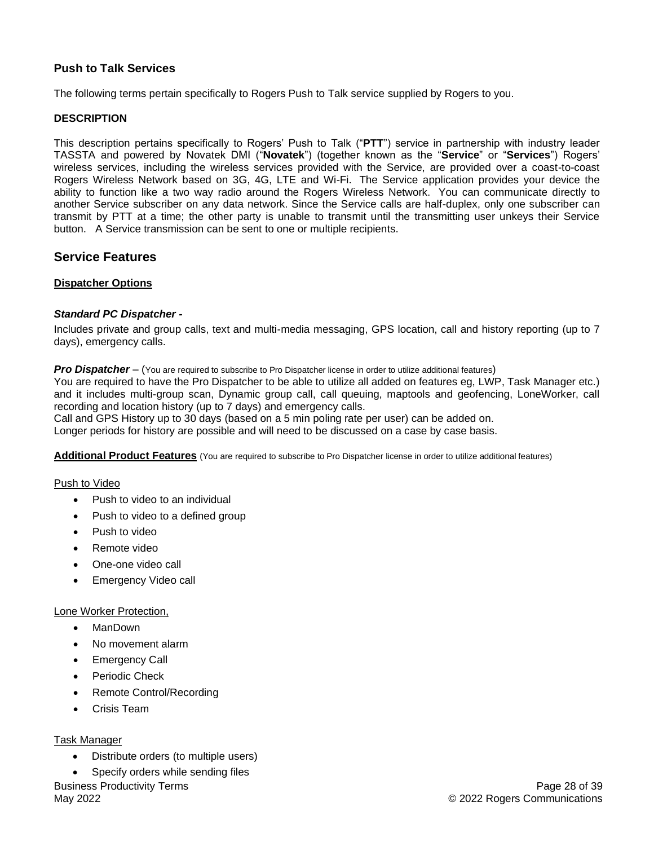## <span id="page-27-0"></span>**Push to Talk Services**

The following terms pertain specifically to Rogers Push to Talk service supplied by Rogers to you.

## **DESCRIPTION**

This description pertains specifically to Rogers' Push to Talk ("**PTT**") service in partnership with industry leader TASSTA and powered by Novatek DMI ("**Novatek**") (together known as the "**Service**" or "**Services**") Rogers' wireless services, including the wireless services provided with the Service, are provided over a coast-to-coast Rogers Wireless Network based on 3G, 4G, LTE and Wi-Fi. The Service application provides your device the ability to function like a two way radio around the Rogers Wireless Network. You can communicate directly to another Service subscriber on any data network. Since the Service calls are half-duplex, only one subscriber can transmit by PTT at a time; the other party is unable to transmit until the transmitting user unkeys their Service button. A Service transmission can be sent to one or multiple recipients.

# **Service Features**

#### **Dispatcher Options**

#### *Standard PC Dispatcher -*

Includes private and group calls, text and multi-media messaging, GPS location, call and history reporting (up to 7 days), emergency calls.

**Pro Dispatcher** – (You are required to subscribe to Pro Dispatcher license in order to utilize additional features)

You are required to have the Pro Dispatcher to be able to utilize all added on features eg, LWP, Task Manager etc.) and it includes multi-group scan, Dynamic group call, call queuing, maptools and geofencing, LoneWorker, call recording and location history (up to 7 days) and emergency calls.

Call and GPS History up to 30 days (based on a 5 min poling rate per user) can be added on.

Longer periods for history are possible and will need to be discussed on a case by case basis.

**Additional Product Features** (You are required to subscribe to Pro Dispatcher license in order to utilize additional features)

#### Push to Video

- Push to video to an individual
- Push to video to a defined group
- Push to video
- Remote video
- One-one video call
- Emergency Video call

#### Lone Worker Protection,

- ManDown
- No movement alarm
- Emergency Call
- Periodic Check
- Remote Control/Recording
- Crisis Team

#### Task Manager

- Distribute orders (to multiple users)
- Business Productivity Terms • Specify orders while sending files

May 2022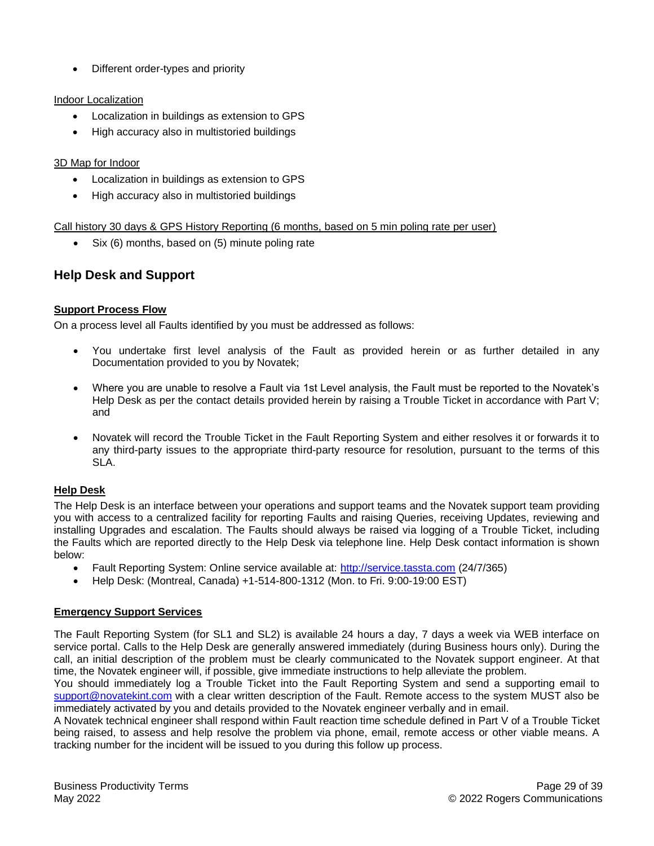• Different order-types and priority

## Indoor Localization

- Localization in buildings as extension to GPS
- High accuracy also in multistoried buildings

## 3D Map for Indoor

- Localization in buildings as extension to GPS
- High accuracy also in multistoried buildings

## Call history 30 days & GPS History Reporting (6 months, based on 5 min poling rate per user)

• Six (6) months, based on (5) minute poling rate

# **Help Desk and Support**

## **Support Process Flow**

On a process level all Faults identified by you must be addressed as follows:

- You undertake first level analysis of the Fault as provided herein or as further detailed in any Documentation provided to you by Novatek;
- Where you are unable to resolve a Fault via 1st Level analysis, the Fault must be reported to the Novatek's Help Desk as per the contact details provided herein by raising a Trouble Ticket in accordance with Part V; and
- Novatek will record the Trouble Ticket in the Fault Reporting System and either resolves it or forwards it to any third-party issues to the appropriate third-party resource for resolution, pursuant to the terms of this SLA.

## **Help Desk**

The Help Desk is an interface between your operations and support teams and the Novatek support team providing you with access to a centralized facility for reporting Faults and raising Queries, receiving Updates, reviewing and installing Upgrades and escalation. The Faults should always be raised via logging of a Trouble Ticket, including the Faults which are reported directly to the Help Desk via telephone line. Help Desk contact information is shown below:

- Fault Reporting System: Online service available at: [http://service.tassta.com](http://service.tassta.com/) (24/7/365)
- Help Desk: (Montreal, Canada) +1-514-800-1312 (Mon. to Fri. 9:00-19:00 EST)

## **Emergency Support Services**

The Fault Reporting System (for SL1 and SL2) is available 24 hours a day, 7 days a week via WEB interface on service portal. Calls to the Help Desk are generally answered immediately (during Business hours only). During the call, an initial description of the problem must be clearly communicated to the Novatek support engineer. At that time, the Novatek engineer will, if possible, give immediate instructions to help alleviate the problem.

You should immediately log a Trouble Ticket into the Fault Reporting System and send a supporting email to [support@novatekint.com](mailto:support@novatekint.com) with a clear written description of the Fault. Remote access to the system MUST also be immediately activated by you and details provided to the Novatek engineer verbally and in email.

A Novatek technical engineer shall respond within Fault reaction time schedule defined in Part V of a Trouble Ticket being raised, to assess and help resolve the problem via phone, email, remote access or other viable means. A tracking number for the incident will be issued to you during this follow up process.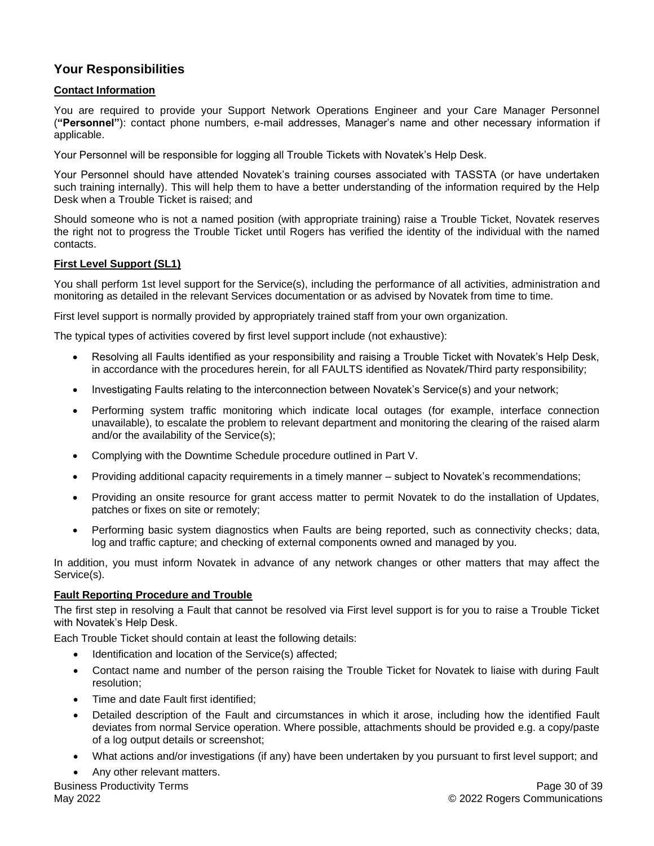# **Your Responsibilities**

## **Contact Information**

You are required to provide your Support Network Operations Engineer and your Care Manager Personnel (**"Personnel"**): contact phone numbers, e-mail addresses, Manager's name and other necessary information if applicable.

Your Personnel will be responsible for logging all Trouble Tickets with Novatek's Help Desk.

Your Personnel should have attended Novatek's training courses associated with TASSTA (or have undertaken such training internally). This will help them to have a better understanding of the information required by the Help Desk when a Trouble Ticket is raised; and

Should someone who is not a named position (with appropriate training) raise a Trouble Ticket, Novatek reserves the right not to progress the Trouble Ticket until Rogers has verified the identity of the individual with the named contacts.

## **First Level Support (SL1)**

You shall perform 1st level support for the Service(s), including the performance of all activities, administration and monitoring as detailed in the relevant Services documentation or as advised by Novatek from time to time.

First level support is normally provided by appropriately trained staff from your own organization.

The typical types of activities covered by first level support include (not exhaustive):

- Resolving all Faults identified as your responsibility and raising a Trouble Ticket with Novatek's Help Desk, in accordance with the procedures herein, for all FAULTS identified as Novatek/Third party responsibility;
- Investigating Faults relating to the interconnection between Novatek's Service(s) and your network;
- Performing system traffic monitoring which indicate local outages (for example, interface connection unavailable), to escalate the problem to relevant department and monitoring the clearing of the raised alarm and/or the availability of the Service(s);
- Complying with the Downtime Schedule procedure outlined in Part V.
- Providing additional capacity requirements in a timely manner subject to Novatek's recommendations;
- Providing an onsite resource for grant access matter to permit Novatek to do the installation of Updates, patches or fixes on site or remotely;
- Performing basic system diagnostics when Faults are being reported, such as connectivity checks; data, log and traffic capture; and checking of external components owned and managed by you.

In addition, you must inform Novatek in advance of any network changes or other matters that may affect the Service(s).

## **Fault Reporting Procedure and Trouble**

The first step in resolving a Fault that cannot be resolved via First level support is for you to raise a Trouble Ticket with Novatek's Help Desk.

Each Trouble Ticket should contain at least the following details:

- Identification and location of the Service(s) affected:
- Contact name and number of the person raising the Trouble Ticket for Novatek to liaise with during Fault resolution;
- Time and date Fault first identified;
- Detailed description of the Fault and circumstances in which it arose, including how the identified Fault deviates from normal Service operation. Where possible, attachments should be provided e.g. a copy/paste of a log output details or screenshot;
- What actions and/or investigations (if any) have been undertaken by you pursuant to first level support; and
- Any other relevant matters.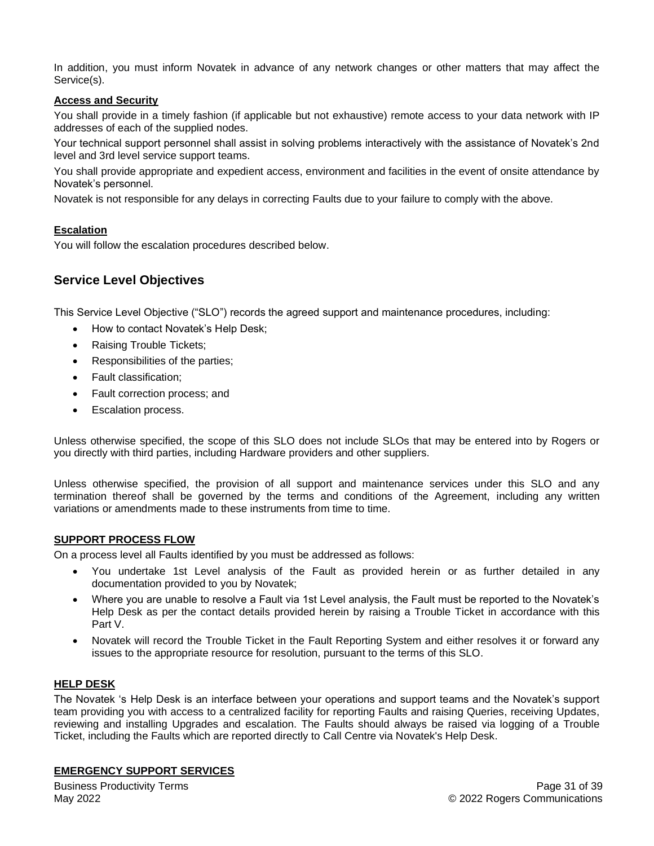In addition, you must inform Novatek in advance of any network changes or other matters that may affect the Service(s).

## **Access and Security**

You shall provide in a timely fashion (if applicable but not exhaustive) remote access to your data network with IP addresses of each of the supplied nodes.

Your technical support personnel shall assist in solving problems interactively with the assistance of Novatek's 2nd level and 3rd level service support teams.

You shall provide appropriate and expedient access, environment and facilities in the event of onsite attendance by Novatek's personnel.

Novatek is not responsible for any delays in correcting Faults due to your failure to comply with the above.

## **Escalation**

You will follow the escalation procedures described below.

# **Service Level Objectives**

This Service Level Objective ("SLO") records the agreed support and maintenance procedures, including:

- How to contact Novatek's Help Desk;
- Raising Trouble Tickets;
- Responsibilities of the parties;
- Fault classification;
- Fault correction process; and
- Escalation process.

Unless otherwise specified, the scope of this SLO does not include SLOs that may be entered into by Rogers or you directly with third parties, including Hardware providers and other suppliers.

Unless otherwise specified, the provision of all support and maintenance services under this SLO and any termination thereof shall be governed by the terms and conditions of the Agreement, including any written variations or amendments made to these instruments from time to time.

#### **SUPPORT PROCESS FLOW**

On a process level all Faults identified by you must be addressed as follows:

- You undertake 1st Level analysis of the Fault as provided herein or as further detailed in any documentation provided to you by Novatek;
- Where you are unable to resolve a Fault via 1st Level analysis, the Fault must be reported to the Novatek's Help Desk as per the contact details provided herein by raising a Trouble Ticket in accordance with this Part V.
- Novatek will record the Trouble Ticket in the Fault Reporting System and either resolves it or forward any issues to the appropriate resource for resolution, pursuant to the terms of this SLO.

## **HELP DESK**

The Novatek 's Help Desk is an interface between your operations and support teams and the Novatek's support team providing you with access to a centralized facility for reporting Faults and raising Queries, receiving Updates, reviewing and installing Upgrades and escalation. The Faults should always be raised via logging of a Trouble Ticket, including the Faults which are reported directly to Call Centre via Novatek's Help Desk.

#### **EMERGENCY SUPPORT SERVICES**

Business Productivity Terms May 2022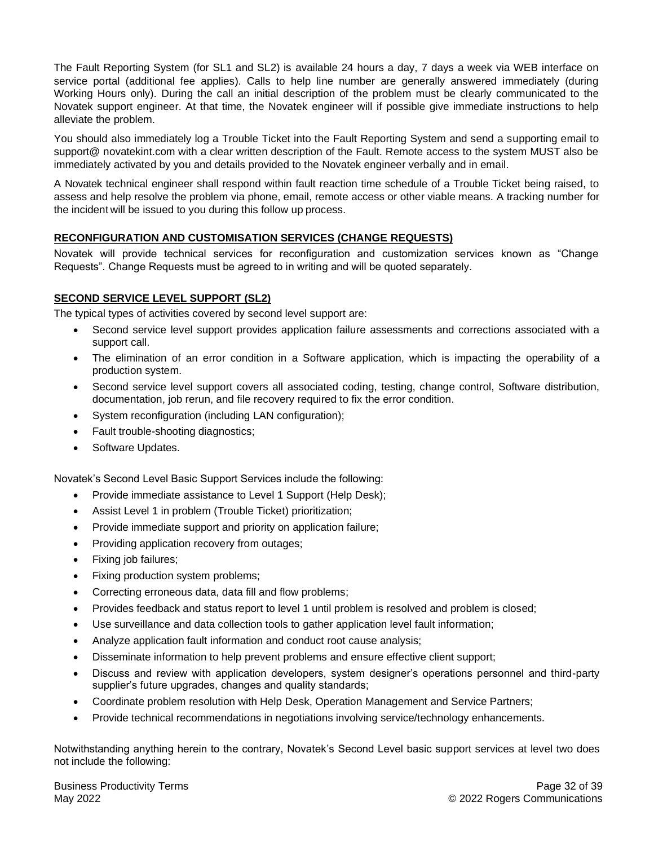The Fault Reporting System (for SL1 and SL2) is available 24 hours a day, 7 days a week via WEB interface on service portal (additional fee applies). Calls to help line number are generally answered immediately (during Working Hours only). During the call an initial description of the problem must be clearly communicated to the Novatek support engineer. At that time, the Novatek engineer will if possible give immediate instructions to help alleviate the problem.

You should also immediately log a Trouble Ticket into the Fault Reporting System and send a supporting email to support@ novatekint.com with a clear written description of the Fault. Remote access to the system MUST also be immediately activated by you and details provided to the Novatek engineer verbally and in email.

A Novatek technical engineer shall respond within fault reaction time schedule of a Trouble Ticket being raised, to assess and help resolve the problem via phone, email, remote access or other viable means. A tracking number for the incident will be issued to you during this follow up process.

## **RECONFIGURATION AND CUSTOMISATION SERVICES (CHANGE REQUESTS)**

Novatek will provide technical services for reconfiguration and customization services known as "Change Requests". Change Requests must be agreed to in writing and will be quoted separately.

## **SECOND SERVICE LEVEL SUPPORT (SL2)**

The typical types of activities covered by second level support are:

- Second service level support provides application failure assessments and corrections associated with a support call.
- The elimination of an error condition in a Software application, which is impacting the operability of a production system.
- Second service level support covers all associated coding, testing, change control, Software distribution, documentation, job rerun, and file recovery required to fix the error condition.
- System reconfiguration (including LAN configuration);
- Fault trouble-shooting diagnostics;
- Software Updates.

Novatek's Second Level Basic Support Services include the following:

- Provide immediate assistance to Level 1 Support (Help Desk);
- Assist Level 1 in problem (Trouble Ticket) prioritization;
- Provide immediate support and priority on application failure;
- Providing application recovery from outages;
- Fixing job failures;
- Fixing production system problems;
- Correcting erroneous data, data fill and flow problems;
- Provides feedback and status report to level 1 until problem is resolved and problem is closed;
- Use surveillance and data collection tools to gather application level fault information;
- Analyze application fault information and conduct root cause analysis;
- Disseminate information to help prevent problems and ensure effective client support;
- Discuss and review with application developers, system designer's operations personnel and third-party supplier's future upgrades, changes and quality standards;
- Coordinate problem resolution with Help Desk, Operation Management and Service Partners;
- Provide technical recommendations in negotiations involving service/technology enhancements.

Notwithstanding anything herein to the contrary, Novatek's Second Level basic support services at level two does not include the following: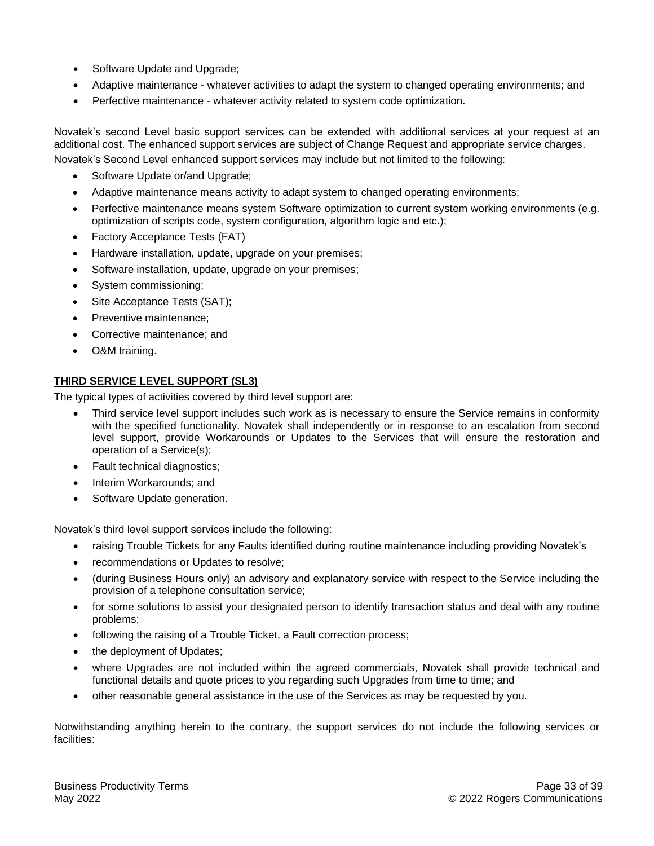- Software Update and Upgrade;
- Adaptive maintenance whatever activities to adapt the system to changed operating environments; and
- Perfective maintenance whatever activity related to system code optimization.

Novatek's second Level basic support services can be extended with additional services at your request at an additional cost. The enhanced support services are subject of Change Request and appropriate service charges.

Novatek's Second Level enhanced support services may include but not limited to the following:

- Software Update or/and Upgrade;
- Adaptive maintenance means activity to adapt system to changed operating environments;
- Perfective maintenance means system Software optimization to current system working environments (e.g. optimization of scripts code, system configuration, algorithm logic and etc.);
- Factory Acceptance Tests (FAT)
- Hardware installation, update, upgrade on your premises;
- Software installation, update, upgrade on your premises;
- System commissioning;
- Site Acceptance Tests (SAT);
- Preventive maintenance;
- Corrective maintenance; and
- O&M training.

## **THIRD SERVICE LEVEL SUPPORT (SL3)**

The typical types of activities covered by third level support are:

- Third service level support includes such work as is necessary to ensure the Service remains in conformity with the specified functionality. Novatek shall independently or in response to an escalation from second level support, provide Workarounds or Updates to the Services that will ensure the restoration and operation of a Service(s);
- Fault technical diagnostics;
- Interim Workarounds; and
- Software Update generation.

Novatek's third level support services include the following:

- raising Trouble Tickets for any Faults identified during routine maintenance including providing Novatek's
- recommendations or Updates to resolve;
- (during Business Hours only) an advisory and explanatory service with respect to the Service including the provision of a telephone consultation service;
- for some solutions to assist your designated person to identify transaction status and deal with any routine problems;
- following the raising of a Trouble Ticket, a Fault correction process;
- the deployment of Updates;
- where Upgrades are not included within the agreed commercials, Novatek shall provide technical and functional details and quote prices to you regarding such Upgrades from time to time; and
- other reasonable general assistance in the use of the Services as may be requested by you.

Notwithstanding anything herein to the contrary, the support services do not include the following services or facilities: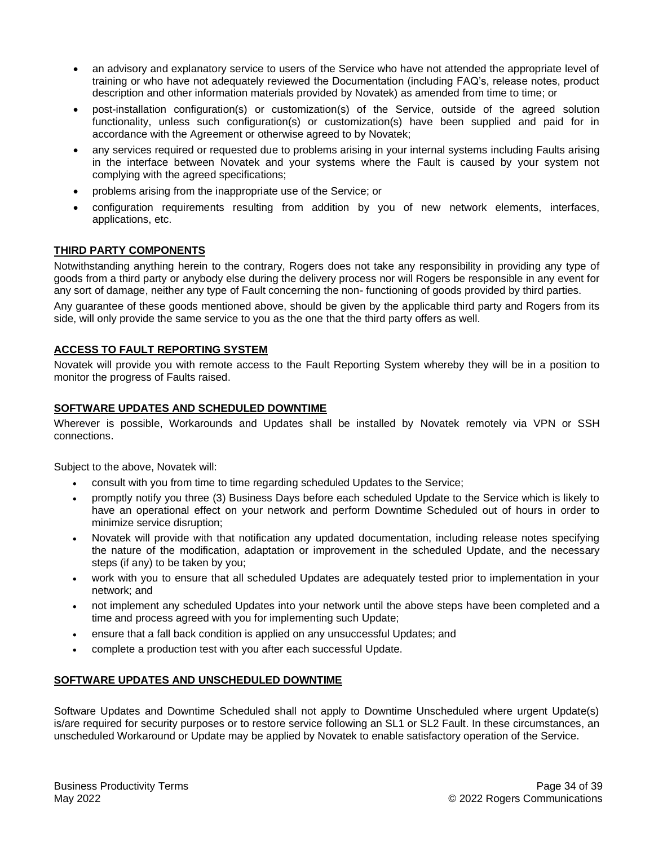- an advisory and explanatory service to users of the Service who have not attended the appropriate level of training or who have not adequately reviewed the Documentation (including FAQ's, release notes, product description and other information materials provided by Novatek) as amended from time to time; or
- post-installation configuration(s) or customization(s) of the Service, outside of the agreed solution functionality, unless such configuration(s) or customization(s) have been supplied and paid for in accordance with the Agreement or otherwise agreed to by Novatek;
- any services required or requested due to problems arising in your internal systems including Faults arising in the interface between Novatek and your systems where the Fault is caused by your system not complying with the agreed specifications;
- problems arising from the inappropriate use of the Service; or
- configuration requirements resulting from addition by you of new network elements, interfaces, applications, etc.

## **THIRD PARTY COMPONENTS**

Notwithstanding anything herein to the contrary, Rogers does not take any responsibility in providing any type of goods from a third party or anybody else during the delivery process nor will Rogers be responsible in any event for any sort of damage, neither any type of Fault concerning the non- functioning of goods provided by third parties.

Any guarantee of these goods mentioned above, should be given by the applicable third party and Rogers from its side, will only provide the same service to you as the one that the third party offers as well.

#### **ACCESS TO FAULT REPORTING SYSTEM**

Novatek will provide you with remote access to the Fault Reporting System whereby they will be in a position to monitor the progress of Faults raised.

#### **SOFTWARE UPDATES AND SCHEDULED DOWNTIME**

Wherever is possible, Workarounds and Updates shall be installed by Novatek remotely via VPN or SSH connections.

Subject to the above, Novatek will:

- consult with you from time to time regarding scheduled Updates to the Service;
- promptly notify you three (3) Business Days before each scheduled Update to the Service which is likely to have an operational effect on your network and perform Downtime Scheduled out of hours in order to minimize service disruption;
- Novatek will provide with that notification any updated documentation, including release notes specifying the nature of the modification, adaptation or improvement in the scheduled Update, and the necessary steps (if any) to be taken by you;
- work with you to ensure that all scheduled Updates are adequately tested prior to implementation in your network; and
- not implement any scheduled Updates into your network until the above steps have been completed and a time and process agreed with you for implementing such Update;
- ensure that a fall back condition is applied on any unsuccessful Updates; and
- complete a production test with you after each successful Update.

#### **SOFTWARE UPDATES AND UNSCHEDULED DOWNTIME**

Software Updates and Downtime Scheduled shall not apply to Downtime Unscheduled where urgent Update(s) is/are required for security purposes or to restore service following an SL1 or SL2 Fault. In these circumstances, an unscheduled Workaround or Update may be applied by Novatek to enable satisfactory operation of the Service.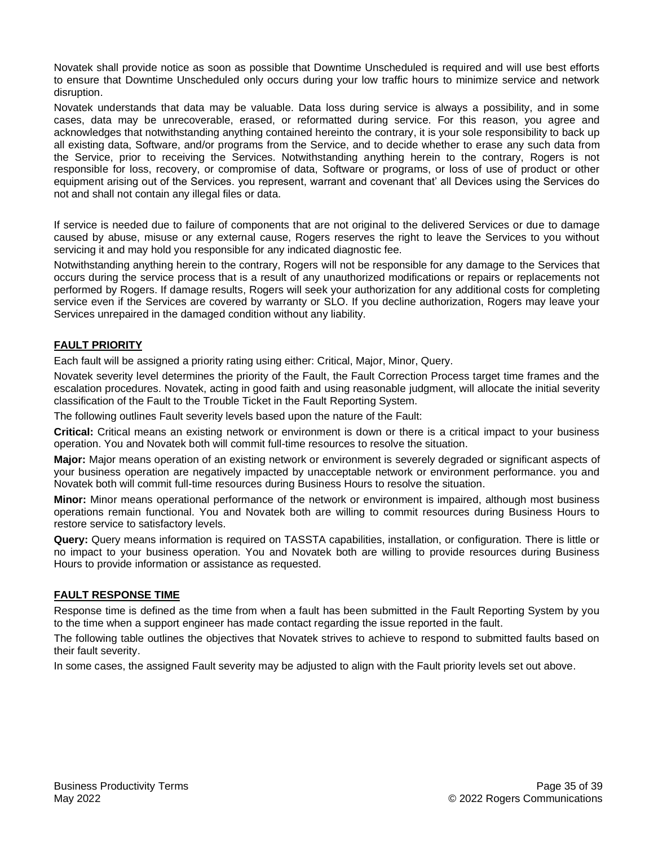Novatek shall provide notice as soon as possible that Downtime Unscheduled is required and will use best efforts to ensure that Downtime Unscheduled only occurs during your low traffic hours to minimize service and network disruption.

Novatek understands that data may be valuable. Data loss during service is always a possibility, and in some cases, data may be unrecoverable, erased, or reformatted during service. For this reason, you agree and acknowledges that notwithstanding anything contained hereinto the contrary, it is your sole responsibility to back up all existing data, Software, and/or programs from the Service, and to decide whether to erase any such data from the Service, prior to receiving the Services. Notwithstanding anything herein to the contrary, Rogers is not responsible for loss, recovery, or compromise of data, Software or programs, or loss of use of product or other equipment arising out of the Services. you represent, warrant and covenant that' all Devices using the Services do not and shall not contain any illegal files or data.

If service is needed due to failure of components that are not original to the delivered Services or due to damage caused by abuse, misuse or any external cause, Rogers reserves the right to leave the Services to you without servicing it and may hold you responsible for any indicated diagnostic fee.

Notwithstanding anything herein to the contrary, Rogers will not be responsible for any damage to the Services that occurs during the service process that is a result of any unauthorized modifications or repairs or replacements not performed by Rogers. If damage results, Rogers will seek your authorization for any additional costs for completing service even if the Services are covered by warranty or SLO. If you decline authorization, Rogers may leave your Services unrepaired in the damaged condition without any liability.

## **FAULT PRIORITY**

Each fault will be assigned a priority rating using either: Critical, Major, Minor, Query.

Novatek severity level determines the priority of the Fault, the Fault Correction Process target time frames and the escalation procedures. Novatek, acting in good faith and using reasonable judgment, will allocate the initial severity classification of the Fault to the Trouble Ticket in the Fault Reporting System.

The following outlines Fault severity levels based upon the nature of the Fault:

**Critical:** Critical means an existing network or environment is down or there is a critical impact to your business operation. You and Novatek both will commit full-time resources to resolve the situation.

**Major:** Major means operation of an existing network or environment is severely degraded or significant aspects of your business operation are negatively impacted by unacceptable network or environment performance. you and Novatek both will commit full-time resources during Business Hours to resolve the situation.

**Minor:** Minor means operational performance of the network or environment is impaired, although most business operations remain functional. You and Novatek both are willing to commit resources during Business Hours to restore service to satisfactory levels.

**Query:** Query means information is required on TASSTA capabilities, installation, or configuration. There is little or no impact to your business operation. You and Novatek both are willing to provide resources during Business Hours to provide information or assistance as requested.

## **FAULT RESPONSE TIME**

Response time is defined as the time from when a fault has been submitted in the Fault Reporting System by you to the time when a support engineer has made contact regarding the issue reported in the fault.

The following table outlines the objectives that Novatek strives to achieve to respond to submitted faults based on their fault severity.

In some cases, the assigned Fault severity may be adjusted to align with the Fault priority levels set out above.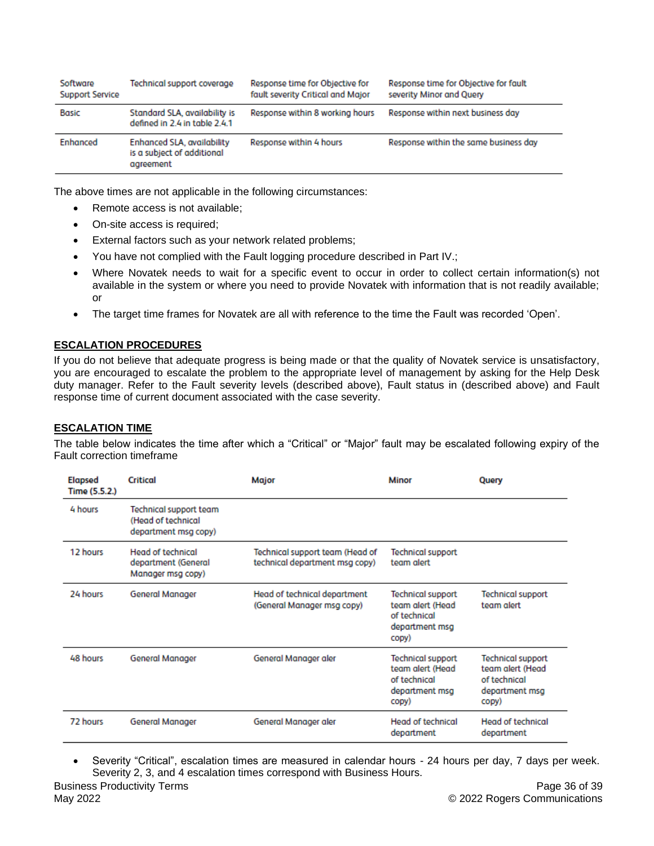| Software<br>Support Service | Technical support coverage                                                   | Response time for Objective for<br>fault severity Critical and Major | Response time for Objective for fault<br>severity Minor and Query |
|-----------------------------|------------------------------------------------------------------------------|----------------------------------------------------------------------|-------------------------------------------------------------------|
| <b>Basic</b>                | Standard SLA, availability is<br>defined in 2.4 in table 2.4.1               | Response within 8 working hours                                      | Response within next business day                                 |
| <b>Enhanced</b>             | <b>Enhanced SLA, availability</b><br>is a subject of additional<br>agreement | Response within 4 hours                                              | Response within the same business day                             |

The above times are not applicable in the following circumstances:

- Remote access is not available;
- On-site access is required;
- External factors such as your network related problems;
- You have not complied with the Fault logging procedure described in Part IV.;
- Where Novatek needs to wait for a specific event to occur in order to collect certain information(s) not available in the system or where you need to provide Novatek with information that is not readily available; or
- The target time frames for Novatek are all with reference to the time the Fault was recorded 'Open'.

#### **ESCALATION PROCEDURES**

If you do not believe that adequate progress is being made or that the quality of Novatek service is unsatisfactory, you are encouraged to escalate the problem to the appropriate level of management by asking for the Help Desk duty manager. Refer to the Fault severity levels (described above), Fault status in (described above) and Fault response time of current document associated with the case severity.

## **ESCALATION TIME**

The table below indicates the time after which a "Critical" or "Major" fault may be escalated following expiry of the Fault correction timeframe

| <b>Elapsed</b><br>Time (5.5.2.) | <b>Critical</b>                                                             | Major                                                             | Minor                                                                                   | Query                                                                                   |
|---------------------------------|-----------------------------------------------------------------------------|-------------------------------------------------------------------|-----------------------------------------------------------------------------------------|-----------------------------------------------------------------------------------------|
| 4 hours                         | <b>Technical support team</b><br>(Head of technical<br>department msg copy) |                                                                   |                                                                                         |                                                                                         |
| 12 hours                        | <b>Head of technical</b><br>department (General<br>Manager msg copy)        | Technical support team (Head of<br>technical department msg copy) | <b>Technical support</b><br>team alert                                                  |                                                                                         |
| 24 hours                        | <b>General Manager</b>                                                      | Head of technical department<br>(General Manager msg copy)        | <b>Technical support</b><br>team alert (Head<br>of technical<br>department msg<br>copy) | <b>Technical support</b><br>team alert                                                  |
| 48 hours                        | <b>General Manager</b>                                                      | General Manager aler                                              | <b>Technical support</b><br>team alert (Head<br>of technical<br>department msg<br>copy) | <b>Technical support</b><br>team alert (Head<br>of technical<br>department msg<br>copy) |
| 72 hours                        | <b>General Manager</b>                                                      | General Manager aler                                              | <b>Head of technical</b><br>department                                                  | <b>Head of technical</b><br>department                                                  |

• Severity "Critical", escalation times are measured in calendar hours - 24 hours per day, 7 days per week. Severity 2, 3, and 4 escalation times correspond with Business Hours.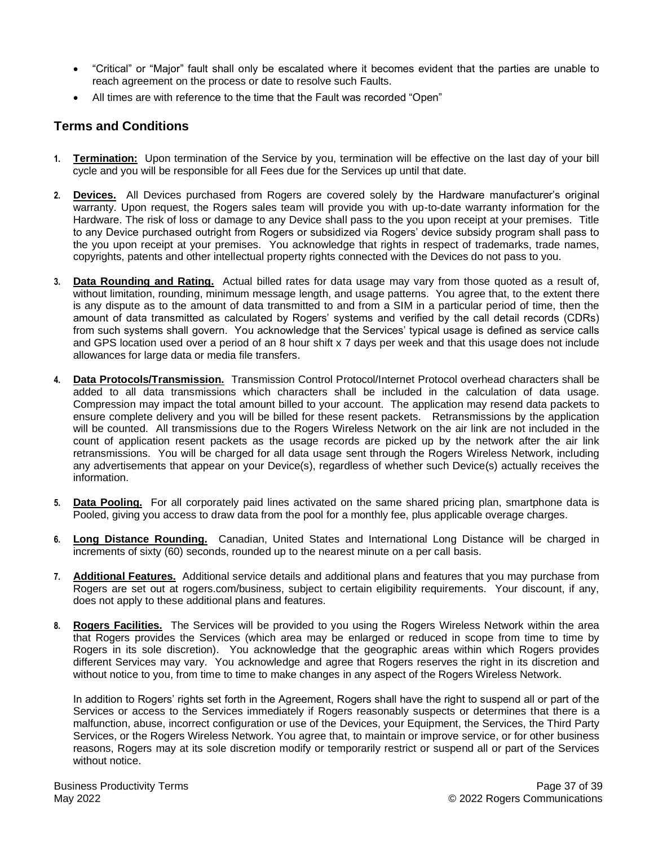- "Critical" or "Major" fault shall only be escalated where it becomes evident that the parties are unable to reach agreement on the process or date to resolve such Faults.
- All times are with reference to the time that the Fault was recorded "Open"

# **Terms and Conditions**

- **1. Termination:** Upon termination of the Service by you, termination will be effective on the last day of your bill cycle and you will be responsible for all Fees due for the Services up until that date.
- **2. Devices.** All Devices purchased from Rogers are covered solely by the Hardware manufacturer's original warranty. Upon request, the Rogers sales team will provide you with up-to-date warranty information for the Hardware. The risk of loss or damage to any Device shall pass to the you upon receipt at your premises. Title to any Device purchased outright from Rogers or subsidized via Rogers' device subsidy program shall pass to the you upon receipt at your premises. You acknowledge that rights in respect of trademarks, trade names, copyrights, patents and other intellectual property rights connected with the Devices do not pass to you.
- **3. Data Rounding and Rating.** Actual billed rates for data usage may vary from those quoted as a result of, without limitation, rounding, minimum message length, and usage patterns. You agree that, to the extent there is any dispute as to the amount of data transmitted to and from a SIM in a particular period of time, then the amount of data transmitted as calculated by Rogers' systems and verified by the call detail records (CDRs) from such systems shall govern. You acknowledge that the Services' typical usage is defined as service calls and GPS location used over a period of an 8 hour shift x 7 days per week and that this usage does not include allowances for large data or media file transfers.
- **4. Data Protocols/Transmission.** Transmission Control Protocol/Internet Protocol overhead characters shall be added to all data transmissions which characters shall be included in the calculation of data usage. Compression may impact the total amount billed to your account. The application may resend data packets to ensure complete delivery and you will be billed for these resent packets. Retransmissions by the application will be counted. All transmissions due to the Rogers Wireless Network on the air link are not included in the count of application resent packets as the usage records are picked up by the network after the air link retransmissions. You will be charged for all data usage sent through the Rogers Wireless Network, including any advertisements that appear on your Device(s), regardless of whether such Device(s) actually receives the information.
- **5. Data Pooling.** For all corporately paid lines activated on the same shared pricing plan, smartphone data is Pooled, giving you access to draw data from the pool for a monthly fee, plus applicable overage charges.
- **6. Long Distance Rounding.** Canadian, United States and International Long Distance will be charged in increments of sixty (60) seconds, rounded up to the nearest minute on a per call basis.
- **7. Additional Features.** Additional service details and additional plans and features that you may purchase from Rogers are set out at rogers.com/business, subject to certain eligibility requirements. Your discount, if any, does not apply to these additional plans and features.
- **8. Rogers Facilities.** The Services will be provided to you using the Rogers Wireless Network within the area that Rogers provides the Services (which area may be enlarged or reduced in scope from time to time by Rogers in its sole discretion). You acknowledge that the geographic areas within which Rogers provides different Services may vary. You acknowledge and agree that Rogers reserves the right in its discretion and without notice to you, from time to time to make changes in any aspect of the Rogers Wireless Network.

In addition to Rogers' rights set forth in the Agreement, Rogers shall have the right to suspend all or part of the Services or access to the Services immediately if Rogers reasonably suspects or determines that there is a malfunction, abuse, incorrect configuration or use of the Devices, your Equipment, the Services, the Third Party Services, or the Rogers Wireless Network. You agree that, to maintain or improve service, or for other business reasons, Rogers may at its sole discretion modify or temporarily restrict or suspend all or part of the Services without notice.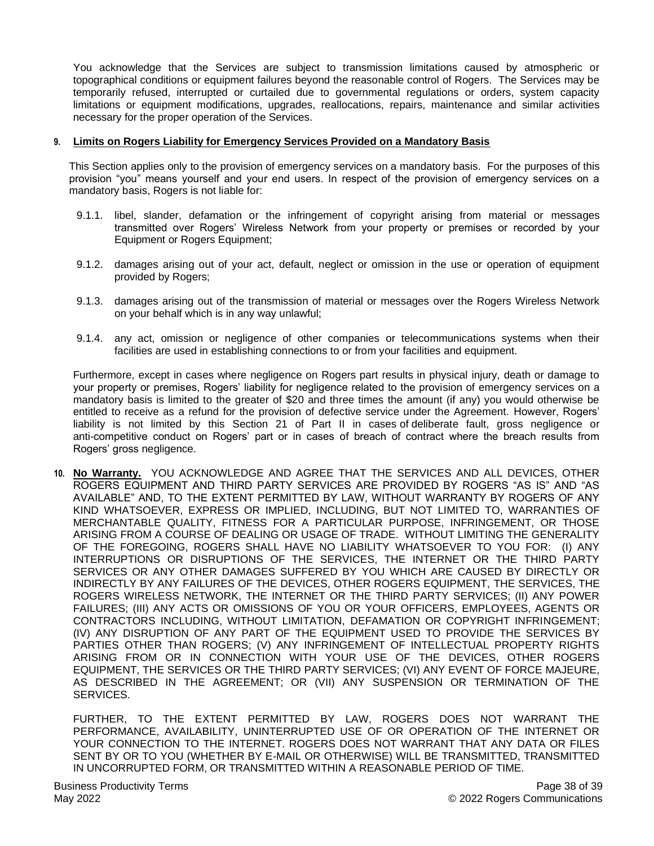You acknowledge that the Services are subject to transmission limitations caused by atmospheric or topographical conditions or equipment failures beyond the reasonable control of Rogers. The Services may be temporarily refused, interrupted or curtailed due to governmental regulations or orders, system capacity limitations or equipment modifications, upgrades, reallocations, repairs, maintenance and similar activities necessary for the proper operation of the Services.

#### **9. Limits on Rogers Liability for Emergency Services Provided on a Mandatory Basis**

This Section applies only to the provision of emergency services on a mandatory basis. For the purposes of this provision "you" means yourself and your end users. In respect of the provision of emergency services on a mandatory basis, Rogers is not liable for:

- 9.1.1. libel, slander, defamation or the infringement of copyright arising from material or messages transmitted over Rogers' Wireless Network from your property or premises or recorded by your Equipment or Rogers Equipment;
- 9.1.2. damages arising out of your act, default, neglect or omission in the use or operation of equipment provided by Rogers;
- 9.1.3. damages arising out of the transmission of material or messages over the Rogers Wireless Network on your behalf which is in any way unlawful;
- 9.1.4. any act, omission or negligence of other companies or telecommunications systems when their facilities are used in establishing connections to or from your facilities and equipment.

Furthermore, except in cases where negligence on Rogers part results in physical injury, death or damage to your property or premises, Rogers' liability for negligence related to the provision of emergency services on a mandatory basis is limited to the greater of \$20 and three times the amount (if any) you would otherwise be entitled to receive as a refund for the provision of defective service under the Agreement. However, Rogers' liability is not limited by this Section 21 of Part II in cases of deliberate fault, gross negligence or anti-competitive conduct on Rogers' part or in cases of breach of contract where the breach results from Rogers' gross negligence.

**10. No Warranty.** YOU ACKNOWLEDGE AND AGREE THAT THE SERVICES AND ALL DEVICES, OTHER ROGERS EQUIPMENT AND THIRD PARTY SERVICES ARE PROVIDED BY ROGERS "AS IS" AND "AS AVAILABLE" AND, TO THE EXTENT PERMITTED BY LAW, WITHOUT WARRANTY BY ROGERS OF ANY KIND WHATSOEVER, EXPRESS OR IMPLIED, INCLUDING, BUT NOT LIMITED TO, WARRANTIES OF MERCHANTABLE QUALITY, FITNESS FOR A PARTICULAR PURPOSE, INFRINGEMENT, OR THOSE ARISING FROM A COURSE OF DEALING OR USAGE OF TRADE. WITHOUT LIMITING THE GENERALITY OF THE FOREGOING, ROGERS SHALL HAVE NO LIABILITY WHATSOEVER TO YOU FOR: (I) ANY INTERRUPTIONS OR DISRUPTIONS OF THE SERVICES, THE INTERNET OR THE THIRD PARTY SERVICES OR ANY OTHER DAMAGES SUFFERED BY YOU WHICH ARE CAUSED BY DIRECTLY OR INDIRECTLY BY ANY FAILURES OF THE DEVICES, OTHER ROGERS EQUIPMENT, THE SERVICES, THE ROGERS WIRELESS NETWORK, THE INTERNET OR THE THIRD PARTY SERVICES; (II) ANY POWER FAILURES; (III) ANY ACTS OR OMISSIONS OF YOU OR YOUR OFFICERS, EMPLOYEES, AGENTS OR CONTRACTORS INCLUDING, WITHOUT LIMITATION, DEFAMATION OR COPYRIGHT INFRINGEMENT; (IV) ANY DISRUPTION OF ANY PART OF THE EQUIPMENT USED TO PROVIDE THE SERVICES BY PARTIES OTHER THAN ROGERS; (V) ANY INFRINGEMENT OF INTELLECTUAL PROPERTY RIGHTS ARISING FROM OR IN CONNECTION WITH YOUR USE OF THE DEVICES, OTHER ROGERS EQUIPMENT, THE SERVICES OR THE THIRD PARTY SERVICES; (VI) ANY EVENT OF FORCE MAJEURE, AS DESCRIBED IN THE AGREEMENT; OR (VII) ANY SUSPENSION OR TERMINATION OF THE SERVICES.

FURTHER, TO THE EXTENT PERMITTED BY LAW, ROGERS DOES NOT WARRANT THE PERFORMANCE, AVAILABILITY, UNINTERRUPTED USE OF OR OPERATION OF THE INTERNET OR YOUR CONNECTION TO THE INTERNET. ROGERS DOES NOT WARRANT THAT ANY DATA OR FILES SENT BY OR TO YOU (WHETHER BY E-MAIL OR OTHERWISE) WILL BE TRANSMITTED, TRANSMITTED IN UNCORRUPTED FORM, OR TRANSMITTED WITHIN A REASONABLE PERIOD OF TIME.